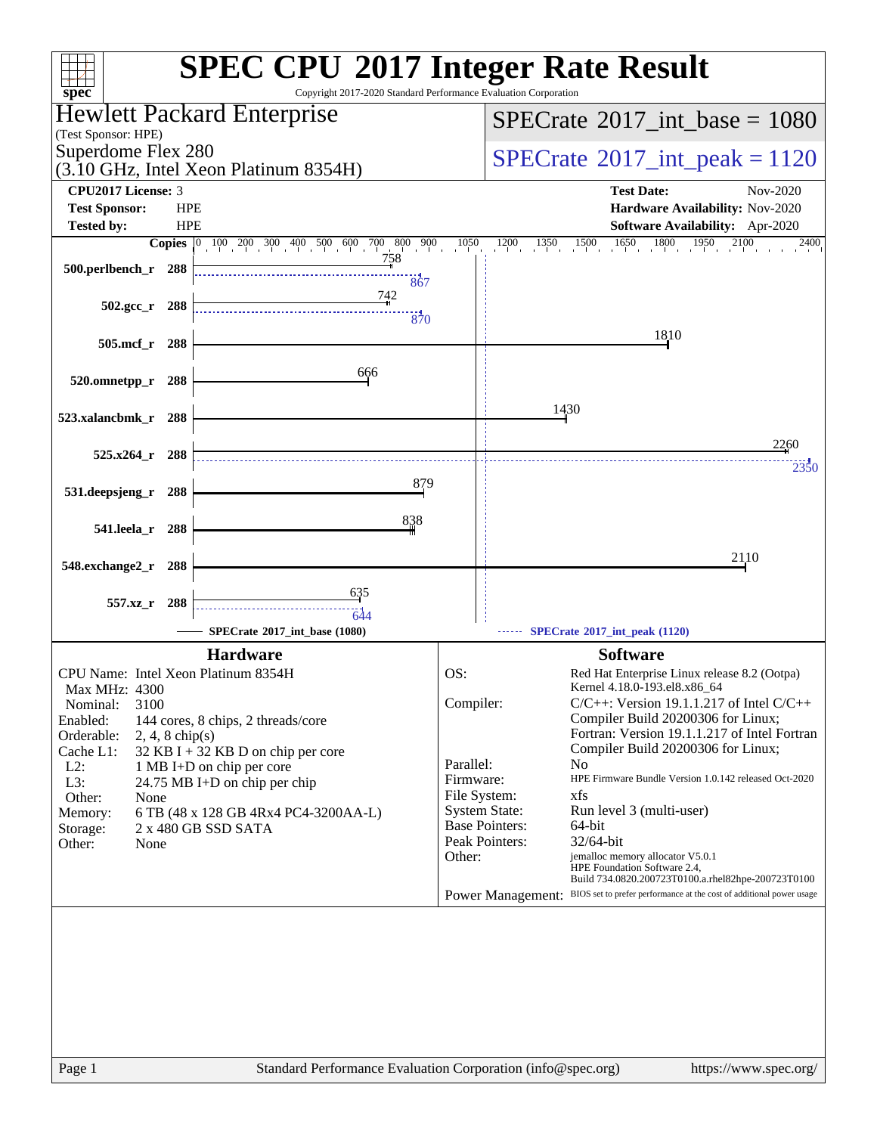| spec <sup>®</sup>                           | <b>SPEC CPU®2017 Integer Rate Result</b><br>Copyright 2017-2020 Standard Performance Evaluation Corporation |                                          |                                                                                                                       |
|---------------------------------------------|-------------------------------------------------------------------------------------------------------------|------------------------------------------|-----------------------------------------------------------------------------------------------------------------------|
| (Test Sponsor: HPE)                         | Hewlett Packard Enterprise                                                                                  |                                          | $SPECrate$ <sup>®</sup> 2017_int_base = 1080                                                                          |
| Superdome Flex 280                          | (3.10 GHz, Intel Xeon Platinum 8354H)                                                                       | $SPECrate^{\circ}2017\_int\_peak = 1120$ |                                                                                                                       |
| <b>CPU2017 License: 3</b>                   |                                                                                                             |                                          | <b>Test Date:</b><br>Nov-2020                                                                                         |
| <b>HPE</b><br><b>Test Sponsor:</b>          |                                                                                                             |                                          | Hardware Availability: Nov-2020                                                                                       |
| <b>Tested by:</b><br><b>HPE</b>             |                                                                                                             |                                          | <b>Software Availability:</b> Apr-2020                                                                                |
|                                             | <b>Copies</b> $\begin{bmatrix} 0 & 100 & 200 & 300 & 400 & 500 & 600 & 700 & 800 & 900 \end{bmatrix}$       | 1050                                     | $\frac{1350}{1}$ $\frac{1500}{1}$ $\frac{1650}{1}$ $\frac{1800}{1}$ $\frac{1950}{1}$ $\frac{2100}{1}$<br>1200<br>2400 |
| 500.perlbench_r 288                         | <u>758</u>                                                                                                  |                                          |                                                                                                                       |
|                                             | 867                                                                                                         |                                          |                                                                                                                       |
| $502.\mathrm{gcc}$ <sub>r</sub><br>- 288    | 742                                                                                                         |                                          |                                                                                                                       |
|                                             | 370                                                                                                         |                                          |                                                                                                                       |
| 505.mcf_r<br>288                            |                                                                                                             |                                          | 1810                                                                                                                  |
|                                             | 666                                                                                                         |                                          |                                                                                                                       |
| 520.omnetpp_r<br>288                        |                                                                                                             |                                          |                                                                                                                       |
|                                             |                                                                                                             |                                          | 1430                                                                                                                  |
| 523.xalancbmk_r<br>- 288                    |                                                                                                             |                                          |                                                                                                                       |
| - 288                                       |                                                                                                             |                                          | 2260                                                                                                                  |
| $525.x264$ r                                |                                                                                                             |                                          | 2350                                                                                                                  |
| 531.deepsjeng_r<br>288                      | 879                                                                                                         |                                          |                                                                                                                       |
|                                             |                                                                                                             |                                          |                                                                                                                       |
| 541.leela_r<br>288                          | 838                                                                                                         |                                          |                                                                                                                       |
|                                             |                                                                                                             |                                          |                                                                                                                       |
| 548.exchange2_r<br>288                      |                                                                                                             |                                          | 2110                                                                                                                  |
|                                             | <u>635</u>                                                                                                  |                                          |                                                                                                                       |
| 557.xz_r 288                                | 644                                                                                                         |                                          |                                                                                                                       |
|                                             | SPECrate®2017_int_base (1080)                                                                               |                                          | SPECrate®2017_int_peak (1120)                                                                                         |
|                                             | <b>Hardware</b>                                                                                             |                                          | <b>Software</b>                                                                                                       |
| CPU Name: Intel Xeon Platinum 8354H         |                                                                                                             | OS:                                      | Red Hat Enterprise Linux release 8.2 (Ootpa)                                                                          |
| Max MHz: 4300                               |                                                                                                             |                                          | Kernel 4.18.0-193.el8.x86_64                                                                                          |
| 3100<br>Nominal:                            |                                                                                                             | Compiler:                                | $C/C++$ : Version 19.1.1.217 of Intel $C/C++$<br>Compiler Build 20200306 for Linux;                                   |
| Enabled:<br>Orderable:<br>$2, 4, 8$ chip(s) | 144 cores, 8 chips, 2 threads/core                                                                          |                                          | Fortran: Version 19.1.1.217 of Intel Fortran                                                                          |
| Cache L1:                                   | 32 KB I + 32 KB D on chip per core                                                                          |                                          | Compiler Build 20200306 for Linux;                                                                                    |
| $L2$ :                                      | 1 MB I+D on chip per core                                                                                   | Parallel:                                | N <sub>0</sub>                                                                                                        |
| L3:                                         | 24.75 MB I+D on chip per chip                                                                               | Firmware:<br>File System:                | HPE Firmware Bundle Version 1.0.142 released Oct-2020<br>xfs                                                          |
| Other:<br>None<br>Memory:                   | 6 TB (48 x 128 GB 4Rx4 PC4-3200AA-L)                                                                        |                                          | <b>System State:</b><br>Run level 3 (multi-user)                                                                      |
| Storage:                                    | 2 x 480 GB SSD SATA                                                                                         |                                          | <b>Base Pointers:</b><br>64-bit                                                                                       |
| Other:<br>None                              |                                                                                                             |                                          | Peak Pointers:<br>32/64-bit                                                                                           |
|                                             |                                                                                                             | Other:                                   | jemalloc memory allocator V5.0.1<br>HPE Foundation Software 2.4,                                                      |
|                                             |                                                                                                             |                                          | Build 734.0820.200723T0100.a.rhel82hpe-200723T0100                                                                    |
|                                             |                                                                                                             |                                          | Power Management: BIOS set to prefer performance at the cost of additional power usage                                |
|                                             |                                                                                                             |                                          |                                                                                                                       |
|                                             |                                                                                                             |                                          |                                                                                                                       |
|                                             |                                                                                                             |                                          |                                                                                                                       |
|                                             |                                                                                                             |                                          |                                                                                                                       |
|                                             |                                                                                                             |                                          |                                                                                                                       |
|                                             |                                                                                                             |                                          |                                                                                                                       |
|                                             |                                                                                                             |                                          |                                                                                                                       |
|                                             |                                                                                                             |                                          |                                                                                                                       |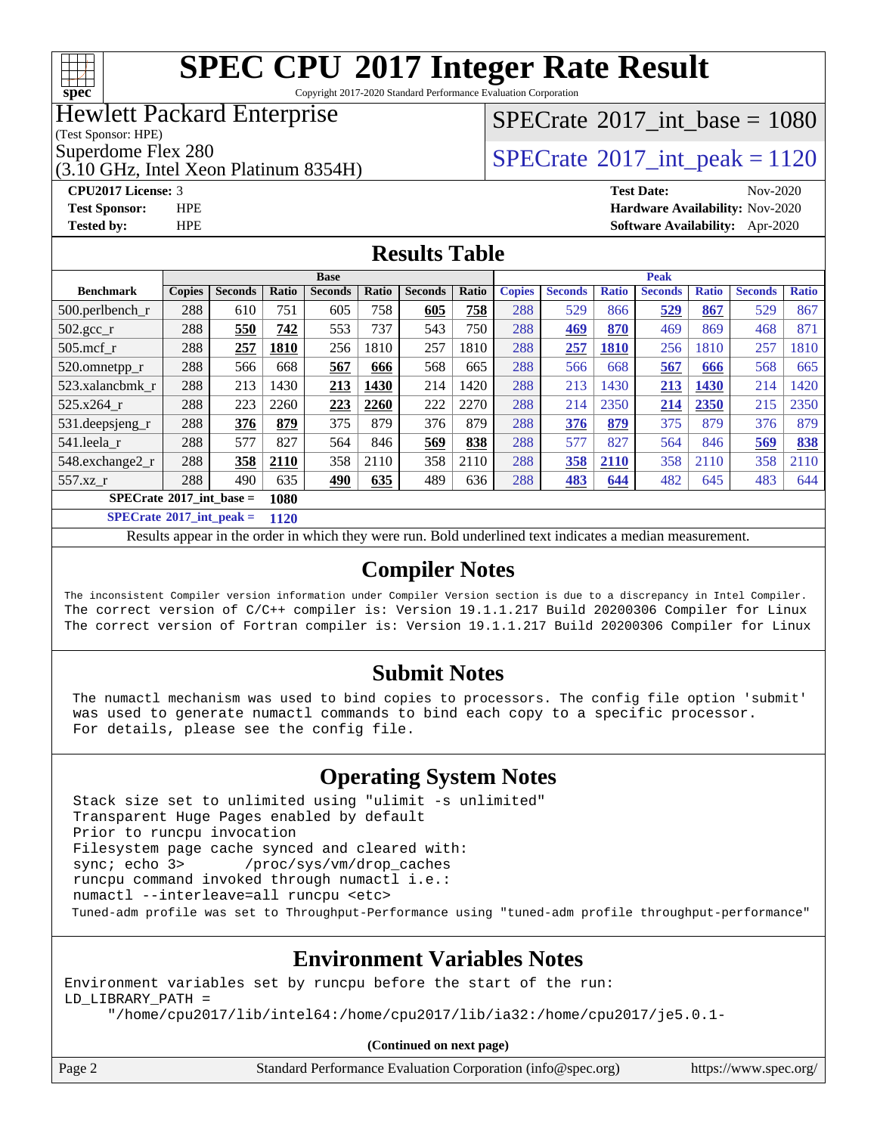

Copyright 2017-2020 Standard Performance Evaluation Corporation

### Hewlett Packard Enterprise

(Test Sponsor: HPE)

(3.10 GHz, Intel Xeon Platinum 8354H)

**[Tested by:](http://www.spec.org/auto/cpu2017/Docs/result-fields.html#Testedby)** HPE **[Software Availability:](http://www.spec.org/auto/cpu2017/Docs/result-fields.html#SoftwareAvailability)** Apr-2020

### [SPECrate](http://www.spec.org/auto/cpu2017/Docs/result-fields.html#SPECrate2017intbase)®2017 int\_base =  $1080$

### Superdome Flex 280<br>  $SPECTA <sup>280</sup>$  [SPECrate](http://www.spec.org/auto/cpu2017/Docs/result-fields.html#SPECrate2017intpeak)<sup>®</sup>2017 int peak = 1120

**[CPU2017 License:](http://www.spec.org/auto/cpu2017/Docs/result-fields.html#CPU2017License)** 3 **[Test Date:](http://www.spec.org/auto/cpu2017/Docs/result-fields.html#TestDate)** Nov-2020 **[Test Sponsor:](http://www.spec.org/auto/cpu2017/Docs/result-fields.html#TestSponsor)** HPE **[Hardware Availability:](http://www.spec.org/auto/cpu2017/Docs/result-fields.html#HardwareAvailability)** Nov-2020

#### **[Results Table](http://www.spec.org/auto/cpu2017/Docs/result-fields.html#ResultsTable)**

|                                     | <b>Base</b>   |                |                      |                |       |                |       |               | <b>Peak</b>    |              |                |              |                |              |  |
|-------------------------------------|---------------|----------------|----------------------|----------------|-------|----------------|-------|---------------|----------------|--------------|----------------|--------------|----------------|--------------|--|
| <b>Benchmark</b>                    | <b>Copies</b> | <b>Seconds</b> | Ratio                | <b>Seconds</b> | Ratio | <b>Seconds</b> | Ratio | <b>Copies</b> | <b>Seconds</b> | <b>Ratio</b> | <b>Seconds</b> | <b>Ratio</b> | <b>Seconds</b> | <b>Ratio</b> |  |
| $500.$ perlbench_r                  | 288           | 610            | 751                  | 605            | 758   | 605            | 758   | 288           | 529            | 866          | 529            | 867          | 529            | 867          |  |
| 502.gcc_r                           | 288           | 550            | 742                  | 553            | 737   | 543            | 750   | 288           | 469            | 870          | 469            | 869          | 468            | 871          |  |
| $505$ .mcf r                        | 288           | 257            | 1810                 | 256            | 1810  | 257            | 1810  | 288           | 257            | <b>1810</b>  | 256            | 1810         | 257            | 1810         |  |
| 520.omnetpp_r                       | 288           | 566            | 668                  | 567            | 666   | 568            | 665   | 288           | 566            | 668          | 567            | 666          | 568            | 665          |  |
| 523.xalancbmk r                     | 288           | 213            | 1430                 | 213            | 1430  | 214            | 1420  | 288           | 213            | 1430         | 213            | 1430         | 214            | 1420         |  |
| 525.x264 r                          | 288           | 223            | 2260                 | 223            | 2260  | 222            | 2270  | 288           | 214            | 2350         | 214            | 2350         | 215            | 2350         |  |
| 531.deepsjeng_r                     | 288           | 376            | 879                  | 375            | 879   | 376            | 879   | 288           | 376            | 879          | 375            | 879          | 376            | 879          |  |
| 541.leela r                         | 288           | 577            | 827                  | 564            | 846   | 569            | 838   | 288           | 577            | 827          | 564            | 846          | 569            | 838          |  |
| 548.exchange2_r                     | 288           | 358            | 2110                 | 358            | 2110  | 358            | 2110  | 288           | 358            | 2110         | 358            | 2110         | 358            | 2110         |  |
| 557.xz                              | 288           | 490            | 635                  | 490            | 635   | 489            | 636   | 288           | 483            | 644          | 482            | 645          | 483            | 644          |  |
| $SPECrate^{\circ}2017\_int\_base =$ |               |                | 1080                 |                |       |                |       |               |                |              |                |              |                |              |  |
| $CDECA = 4.8904E + 4 = 1$           |               |                | $\sim$ $\sim$ $\sim$ |                |       |                |       |               |                |              |                |              |                |              |  |

**[SPECrate](http://www.spec.org/auto/cpu2017/Docs/result-fields.html#SPECrate2017intpeak)[2017\\_int\\_peak =](http://www.spec.org/auto/cpu2017/Docs/result-fields.html#SPECrate2017intpeak) 1120**

Results appear in the [order in which they were run](http://www.spec.org/auto/cpu2017/Docs/result-fields.html#RunOrder). Bold underlined text [indicates a median measurement](http://www.spec.org/auto/cpu2017/Docs/result-fields.html#Median).

#### **[Compiler Notes](http://www.spec.org/auto/cpu2017/Docs/result-fields.html#CompilerNotes)**

The inconsistent Compiler version information under Compiler Version section is due to a discrepancy in Intel Compiler. The correct version of C/C++ compiler is: Version 19.1.1.217 Build 20200306 Compiler for Linux The correct version of Fortran compiler is: Version 19.1.1.217 Build 20200306 Compiler for Linux

#### **[Submit Notes](http://www.spec.org/auto/cpu2017/Docs/result-fields.html#SubmitNotes)**

 The numactl mechanism was used to bind copies to processors. The config file option 'submit' was used to generate numactl commands to bind each copy to a specific processor. For details, please see the config file.

#### **[Operating System Notes](http://www.spec.org/auto/cpu2017/Docs/result-fields.html#OperatingSystemNotes)**

 Stack size set to unlimited using "ulimit -s unlimited" Transparent Huge Pages enabled by default Prior to runcpu invocation Filesystem page cache synced and cleared with: sync; echo 3> /proc/sys/vm/drop\_caches runcpu command invoked through numactl i.e.: numactl --interleave=all runcpu <etc> Tuned-adm profile was set to Throughput-Performance using "tuned-adm profile throughput-performance"

#### **[Environment Variables Notes](http://www.spec.org/auto/cpu2017/Docs/result-fields.html#EnvironmentVariablesNotes)**

Environment variables set by runcpu before the start of the run: LD\_LIBRARY\_PATH = "/home/cpu2017/lib/intel64:/home/cpu2017/lib/ia32:/home/cpu2017/je5.0.1-

**(Continued on next page)**

| Page 2 | Standard Performance Evaluation Corporation (info@spec.org) | https://www.spec.org/ |
|--------|-------------------------------------------------------------|-----------------------|
|--------|-------------------------------------------------------------|-----------------------|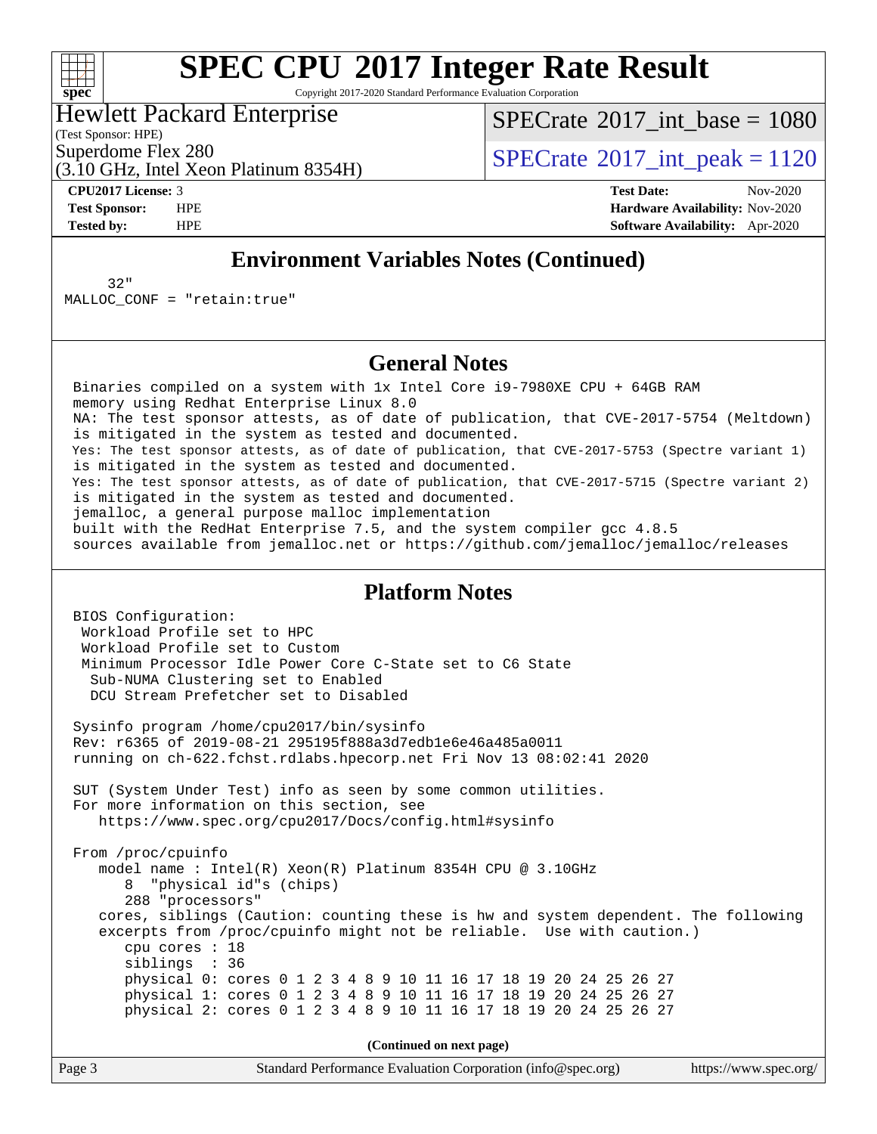

Copyright 2017-2020 Standard Performance Evaluation Corporation

Hewlett Packard Enterprise

(Test Sponsor: HPE)

[SPECrate](http://www.spec.org/auto/cpu2017/Docs/result-fields.html#SPECrate2017intbase)®2017 int\_base =  $1080$ 

Superdome Flex 280<br>  $SPECTA <sup>280</sup>$  [SPECrate](http://www.spec.org/auto/cpu2017/Docs/result-fields.html#SPECrate2017intpeak)<sup>®</sup>2017 int peak = 1120

(3.10 GHz, Intel Xeon Platinum 8354H)

**[CPU2017 License:](http://www.spec.org/auto/cpu2017/Docs/result-fields.html#CPU2017License)** 3 **[Test Date:](http://www.spec.org/auto/cpu2017/Docs/result-fields.html#TestDate)** Nov-2020 **[Test Sponsor:](http://www.spec.org/auto/cpu2017/Docs/result-fields.html#TestSponsor)** HPE **[Hardware Availability:](http://www.spec.org/auto/cpu2017/Docs/result-fields.html#HardwareAvailability)** Nov-2020 **[Tested by:](http://www.spec.org/auto/cpu2017/Docs/result-fields.html#Testedby)** HPE **[Software Availability:](http://www.spec.org/auto/cpu2017/Docs/result-fields.html#SoftwareAvailability)** Apr-2020

#### **[Environment Variables Notes \(Continued\)](http://www.spec.org/auto/cpu2017/Docs/result-fields.html#EnvironmentVariablesNotes)**

 32" MALLOC\_CONF = "retain:true"

#### **[General Notes](http://www.spec.org/auto/cpu2017/Docs/result-fields.html#GeneralNotes)**

 Binaries compiled on a system with 1x Intel Core i9-7980XE CPU + 64GB RAM memory using Redhat Enterprise Linux 8.0 NA: The test sponsor attests, as of date of publication, that CVE-2017-5754 (Meltdown) is mitigated in the system as tested and documented. Yes: The test sponsor attests, as of date of publication, that CVE-2017-5753 (Spectre variant 1) is mitigated in the system as tested and documented. Yes: The test sponsor attests, as of date of publication, that CVE-2017-5715 (Spectre variant 2) is mitigated in the system as tested and documented. jemalloc, a general purpose malloc implementation built with the RedHat Enterprise 7.5, and the system compiler gcc 4.8.5 sources available from jemalloc.net or<https://github.com/jemalloc/jemalloc/releases>

#### **[Platform Notes](http://www.spec.org/auto/cpu2017/Docs/result-fields.html#PlatformNotes)**

 BIOS Configuration: Workload Profile set to HPC Workload Profile set to Custom Minimum Processor Idle Power Core C-State set to C6 State Sub-NUMA Clustering set to Enabled DCU Stream Prefetcher set to Disabled Sysinfo program /home/cpu2017/bin/sysinfo Rev: r6365 of 2019-08-21 295195f888a3d7edb1e6e46a485a0011 running on ch-622.fchst.rdlabs.hpecorp.net Fri Nov 13 08:02:41 2020 SUT (System Under Test) info as seen by some common utilities. For more information on this section, see <https://www.spec.org/cpu2017/Docs/config.html#sysinfo> From /proc/cpuinfo model name : Intel(R) Xeon(R) Platinum 8354H CPU @ 3.10GHz 8 "physical id"s (chips) 288 "processors" cores, siblings (Caution: counting these is hw and system dependent. The following excerpts from /proc/cpuinfo might not be reliable. Use with caution.) cpu cores : 18 siblings : 36 physical 0: cores 0 1 2 3 4 8 9 10 11 16 17 18 19 20 24 25 26 27 physical 1: cores 0 1 2 3 4 8 9 10 11 16 17 18 19 20 24 25 26 27 physical 2: cores 0 1 2 3 4 8 9 10 11 16 17 18 19 20 24 25 26 27

**(Continued on next page)**

Page 3 Standard Performance Evaluation Corporation [\(info@spec.org\)](mailto:info@spec.org) <https://www.spec.org/>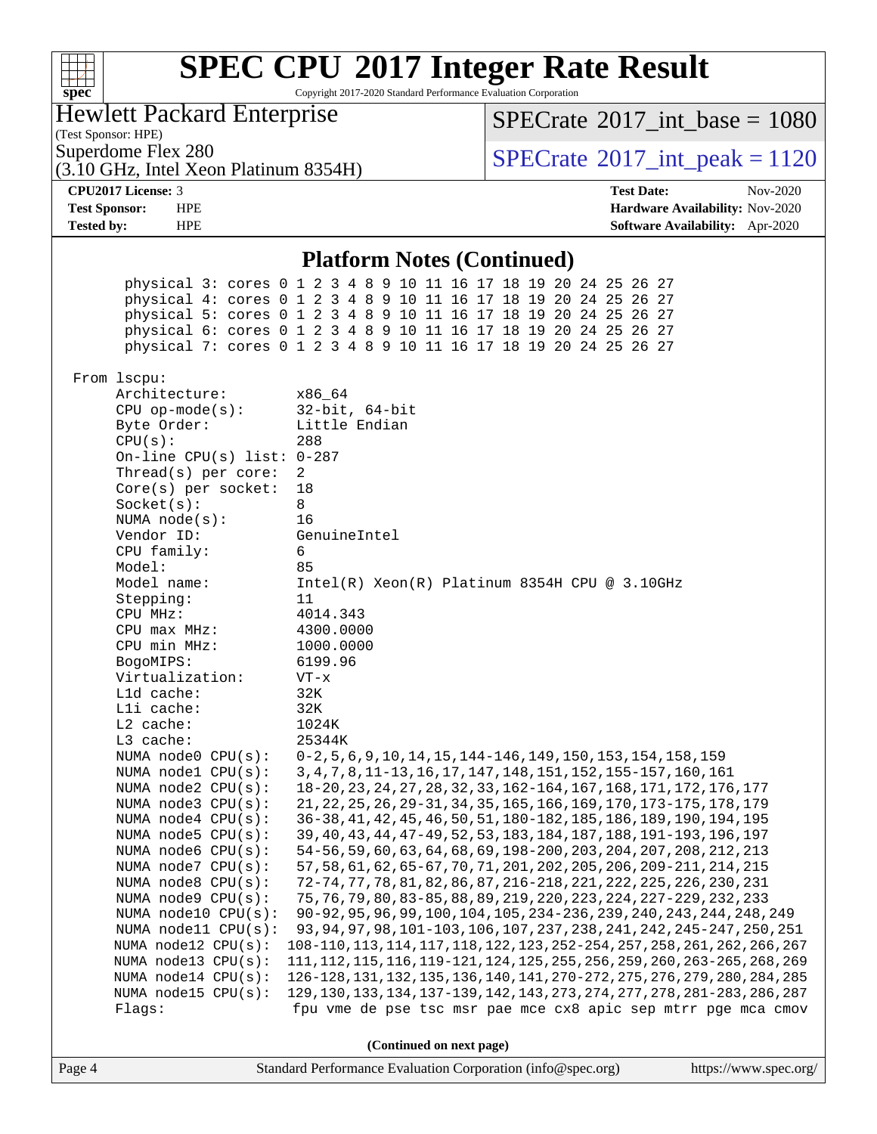|                                                                                                                                                                                                                                                                                                                                                                                                                                                                                                                                                                                                                                                                                                                                                                                              | <b>SPEC CPU®2017 Integer Rate Result</b>                                                                                                                                                                                                                                                                                                                                                                                                                                                                                                                                                                                                                                                                                                                                                                                                                                                                                                                                                                                                                                                      |                                                                                                                                                                                                                                                                                                                                                                                                                                                                           |
|----------------------------------------------------------------------------------------------------------------------------------------------------------------------------------------------------------------------------------------------------------------------------------------------------------------------------------------------------------------------------------------------------------------------------------------------------------------------------------------------------------------------------------------------------------------------------------------------------------------------------------------------------------------------------------------------------------------------------------------------------------------------------------------------|-----------------------------------------------------------------------------------------------------------------------------------------------------------------------------------------------------------------------------------------------------------------------------------------------------------------------------------------------------------------------------------------------------------------------------------------------------------------------------------------------------------------------------------------------------------------------------------------------------------------------------------------------------------------------------------------------------------------------------------------------------------------------------------------------------------------------------------------------------------------------------------------------------------------------------------------------------------------------------------------------------------------------------------------------------------------------------------------------|---------------------------------------------------------------------------------------------------------------------------------------------------------------------------------------------------------------------------------------------------------------------------------------------------------------------------------------------------------------------------------------------------------------------------------------------------------------------------|
| $spec^*$                                                                                                                                                                                                                                                                                                                                                                                                                                                                                                                                                                                                                                                                                                                                                                                     | Copyright 2017-2020 Standard Performance Evaluation Corporation                                                                                                                                                                                                                                                                                                                                                                                                                                                                                                                                                                                                                                                                                                                                                                                                                                                                                                                                                                                                                               |                                                                                                                                                                                                                                                                                                                                                                                                                                                                           |
| <b>Hewlett Packard Enterprise</b><br>(Test Sponsor: HPE)                                                                                                                                                                                                                                                                                                                                                                                                                                                                                                                                                                                                                                                                                                                                     |                                                                                                                                                                                                                                                                                                                                                                                                                                                                                                                                                                                                                                                                                                                                                                                                                                                                                                                                                                                                                                                                                               | $SPECrate^{\circ}2017\_int\_base = 1080$                                                                                                                                                                                                                                                                                                                                                                                                                                  |
| Superdome Flex 280<br>(3.10 GHz, Intel Xeon Platinum 8354H)                                                                                                                                                                                                                                                                                                                                                                                                                                                                                                                                                                                                                                                                                                                                  |                                                                                                                                                                                                                                                                                                                                                                                                                                                                                                                                                                                                                                                                                                                                                                                                                                                                                                                                                                                                                                                                                               | $SPECrate^{\circ}2017\_int\_peak = 1120$                                                                                                                                                                                                                                                                                                                                                                                                                                  |
| CPU2017 License: 3                                                                                                                                                                                                                                                                                                                                                                                                                                                                                                                                                                                                                                                                                                                                                                           |                                                                                                                                                                                                                                                                                                                                                                                                                                                                                                                                                                                                                                                                                                                                                                                                                                                                                                                                                                                                                                                                                               | <b>Test Date:</b><br>Nov-2020                                                                                                                                                                                                                                                                                                                                                                                                                                             |
| <b>Test Sponsor:</b><br><b>HPE</b><br><b>Tested by:</b><br><b>HPE</b>                                                                                                                                                                                                                                                                                                                                                                                                                                                                                                                                                                                                                                                                                                                        |                                                                                                                                                                                                                                                                                                                                                                                                                                                                                                                                                                                                                                                                                                                                                                                                                                                                                                                                                                                                                                                                                               | Hardware Availability: Nov-2020<br>Software Availability: Apr-2020                                                                                                                                                                                                                                                                                                                                                                                                        |
|                                                                                                                                                                                                                                                                                                                                                                                                                                                                                                                                                                                                                                                                                                                                                                                              |                                                                                                                                                                                                                                                                                                                                                                                                                                                                                                                                                                                                                                                                                                                                                                                                                                                                                                                                                                                                                                                                                               |                                                                                                                                                                                                                                                                                                                                                                                                                                                                           |
|                                                                                                                                                                                                                                                                                                                                                                                                                                                                                                                                                                                                                                                                                                                                                                                              | <b>Platform Notes (Continued)</b>                                                                                                                                                                                                                                                                                                                                                                                                                                                                                                                                                                                                                                                                                                                                                                                                                                                                                                                                                                                                                                                             |                                                                                                                                                                                                                                                                                                                                                                                                                                                                           |
|                                                                                                                                                                                                                                                                                                                                                                                                                                                                                                                                                                                                                                                                                                                                                                                              | physical 3: cores 0 1 2 3 4 8 9 10 11 16 17 18 19 20 24 25 26 27<br>physical 4: cores 0 1 2 3 4 8 9 10 11 16 17 18 19 20 24 25 26 27<br>physical 5: cores 0 1 2 3 4 8 9 10 11 16 17 18 19 20 24 25 26 27<br>physical 6: cores 0 1 2 3 4 8 9 10 11 16 17 18 19 20 24 25 26 27<br>physical 7: cores 0 1 2 3 4 8 9 10 11 16 17 18 19 20 24 25 26 27                                                                                                                                                                                                                                                                                                                                                                                                                                                                                                                                                                                                                                                                                                                                              |                                                                                                                                                                                                                                                                                                                                                                                                                                                                           |
| From lscpu:<br>Architecture:<br>$CPU$ op-mode( $s$ ):<br>Byte Order:<br>CPU(s):<br>On-line CPU(s) list: 0-287<br>Thread(s) per core:<br>$Core(s)$ per socket:<br>Socket(s):<br>NUMA $node(s):$<br>Vendor ID:<br>CPU family:<br>Model:<br>Model name:<br>Stepping:<br>CPU MHz:<br>$CPU$ max $MHz:$<br>CPU min MHz:<br>BogoMIPS:<br>Virtualization:<br>L1d cache:<br>Lli cache:<br>L2 cache:<br>L3 cache:<br>NUMA node0 CPU(s):<br>NUMA nodel CPU(s):<br>NUMA $node2$ $CPU(s)$ :<br>NUMA node3 CPU(s):<br>NUMA node4 CPU(s):<br>NUMA node5 CPU(s):<br>NUMA node6 CPU(s):<br>NUMA node7 CPU(s):<br>NUMA node8 CPU(s):<br>NUMA node9 CPU(s):<br>NUMA node10 CPU(s):<br>NUMA node11 CPU(s):<br>NUMA node12 CPU(s):<br>NUMA node13 CPU(s):<br>NUMA node14 CPU(s):<br>NUMA node15 CPU(s):<br>Flags: | x86_64<br>$32$ -bit, $64$ -bit<br>Little Endian<br>288<br>$\overline{2}$<br>18<br>8<br>16<br>GenuineIntel<br>6<br>85<br>$Intel(R) Xeon(R) Platinum 8354H CPU @ 3.10GHz$<br>11<br>4014.343<br>4300.0000<br>1000.0000<br>6199.96<br>$VT - x$<br>32K<br>32K<br>1024K<br>25344K<br>0-2, 5, 6, 9, 10, 14, 15, 144-146, 149, 150, 153, 154, 158, 159<br>3, 4, 7, 8, 11-13, 16, 17, 147, 148, 151, 152, 155-157, 160, 161<br>18-20, 23, 24, 27, 28, 32, 33, 162-164, 167, 168, 171, 172, 176, 177<br>21, 22, 25, 26, 29-31, 34, 35, 165, 166, 169, 170, 173-175, 178, 179<br>36-38, 41, 42, 45, 46, 50, 51, 180-182, 185, 186, 189, 190, 194, 195<br>39, 40, 43, 44, 47-49, 52, 53, 183, 184, 187, 188, 191-193, 196, 197<br>54-56, 59, 60, 63, 64, 68, 69, 198-200, 203, 204, 207, 208, 212, 213<br>57, 58, 61, 62, 65-67, 70, 71, 201, 202, 205, 206, 209-211, 214, 215<br>72-74, 77, 78, 81, 82, 86, 87, 216-218, 221, 222, 225, 226, 230, 231<br>75, 76, 79, 80, 83-85, 88, 89, 219, 220, 223, 224, 227-229, 232, 233<br>90-92, 95, 96, 99, 100, 104, 105, 234-236, 239, 240, 243, 244, 248, 249 | 93, 94, 97, 98, 101-103, 106, 107, 237, 238, 241, 242, 245-247, 250, 251<br>108-110, 113, 114, 117, 118, 122, 123, 252-254, 257, 258, 261, 262, 266, 267<br>111, 112, 115, 116, 119-121, 124, 125, 255, 256, 259, 260, 263-265, 268, 269<br>126-128, 131, 132, 135, 136, 140, 141, 270-272, 275, 276, 279, 280, 284, 285<br>129, 130, 133, 134, 137-139, 142, 143, 273, 274, 277, 278, 281-283, 286, 287<br>fpu vme de pse tsc msr pae mce cx8 apic sep mtrr pge mca cmov |
|                                                                                                                                                                                                                                                                                                                                                                                                                                                                                                                                                                                                                                                                                                                                                                                              | (Continued on next page)                                                                                                                                                                                                                                                                                                                                                                                                                                                                                                                                                                                                                                                                                                                                                                                                                                                                                                                                                                                                                                                                      |                                                                                                                                                                                                                                                                                                                                                                                                                                                                           |
| Page 4                                                                                                                                                                                                                                                                                                                                                                                                                                                                                                                                                                                                                                                                                                                                                                                       | Standard Performance Evaluation Corporation (info@spec.org)                                                                                                                                                                                                                                                                                                                                                                                                                                                                                                                                                                                                                                                                                                                                                                                                                                                                                                                                                                                                                                   | https://www.spec.org/                                                                                                                                                                                                                                                                                                                                                                                                                                                     |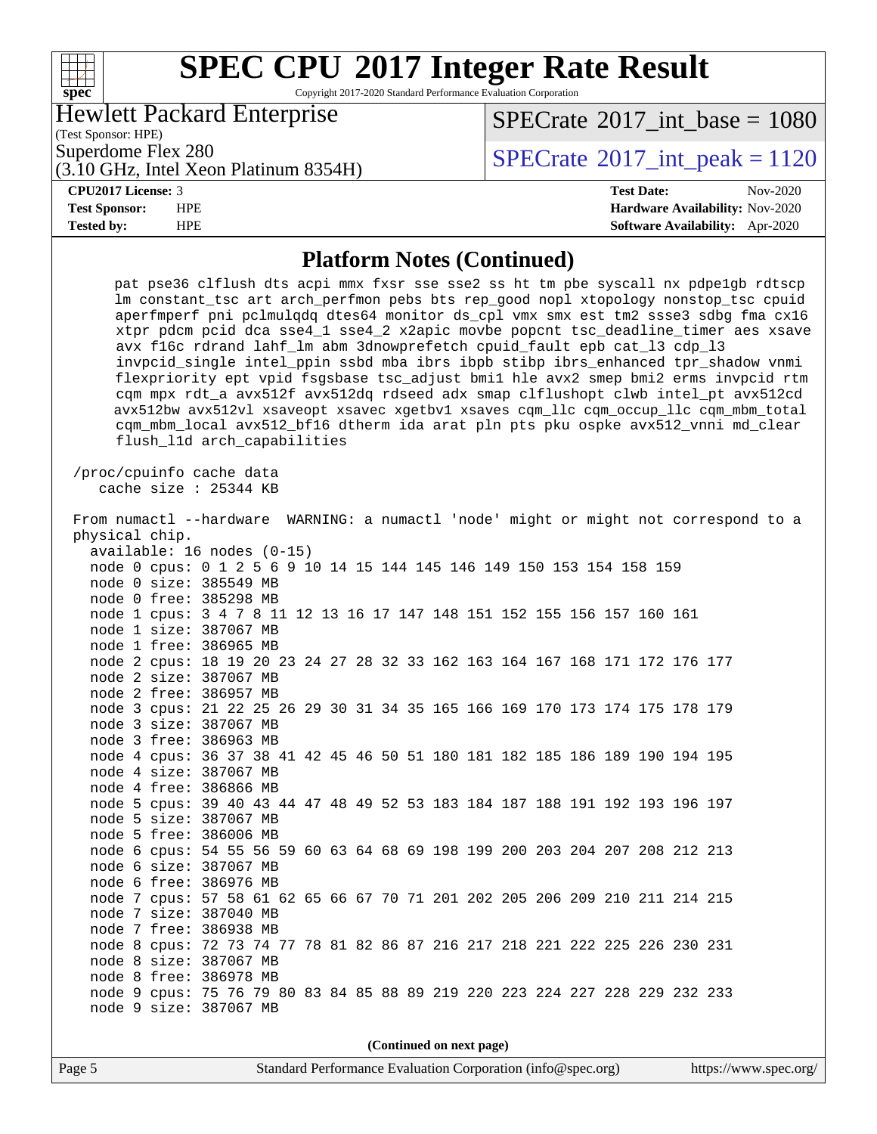Copyright 2017-2020 Standard Performance Evaluation Corporation

Hewlett Packard Enterprise

 $SPECTate$ <sup>®</sup>[2017\\_int\\_base =](http://www.spec.org/auto/cpu2017/Docs/result-fields.html#SPECrate2017intbase) 1080

(Test Sponsor: HPE)

(3.10 GHz, Intel Xeon Platinum 8354H)

### $SPECTate@2017_int\_peak = 1120$

**[spec](http://www.spec.org/)**

**[CPU2017 License:](http://www.spec.org/auto/cpu2017/Docs/result-fields.html#CPU2017License)** 3 **[Test Date:](http://www.spec.org/auto/cpu2017/Docs/result-fields.html#TestDate)** Nov-2020 **[Test Sponsor:](http://www.spec.org/auto/cpu2017/Docs/result-fields.html#TestSponsor)** HPE **[Hardware Availability:](http://www.spec.org/auto/cpu2017/Docs/result-fields.html#HardwareAvailability)** Nov-2020 **[Tested by:](http://www.spec.org/auto/cpu2017/Docs/result-fields.html#Testedby)** HPE **[Software Availability:](http://www.spec.org/auto/cpu2017/Docs/result-fields.html#SoftwareAvailability)** Apr-2020

#### **[Platform Notes \(Continued\)](http://www.spec.org/auto/cpu2017/Docs/result-fields.html#PlatformNotes)**

| pat pse36 clflush dts acpi mmx fxsr sse sse2 ss ht tm pbe syscall nx pdpelgb rdtscp<br>lm constant_tsc art arch_perfmon pebs bts rep_good nopl xtopology nonstop_tsc cpuid<br>aperfmperf pni pclmulqdq dtes64 monitor ds_cpl vmx smx est tm2 ssse3 sdbg fma cx16<br>xtpr pdcm pcid dca sse4_1 sse4_2 x2apic movbe popcnt tsc_deadline_timer aes xsave<br>avx f16c rdrand lahf_lm abm 3dnowprefetch cpuid_fault epb cat_13 cdp_13<br>invpcid_single intel_ppin ssbd mba ibrs ibpb stibp ibrs_enhanced tpr_shadow vnmi<br>flexpriority ept vpid fsgsbase tsc_adjust bmil hle avx2 smep bmi2 erms invpcid rtm<br>cqm mpx rdt_a avx512f avx512dq rdseed adx smap clflushopt clwb intel_pt avx512cd<br>avx512bw avx512vl xsaveopt xsavec xgetbvl xsaves cqm_llc cqm_occup_llc cqm_mbm_total<br>cqm_mbm_local avx512_bf16 dtherm ida arat pln pts pku ospke avx512_vnni md_clear<br>flush_11d arch_capabilities |  |
|-----------------------------------------------------------------------------------------------------------------------------------------------------------------------------------------------------------------------------------------------------------------------------------------------------------------------------------------------------------------------------------------------------------------------------------------------------------------------------------------------------------------------------------------------------------------------------------------------------------------------------------------------------------------------------------------------------------------------------------------------------------------------------------------------------------------------------------------------------------------------------------------------------------|--|
| /proc/cpuinfo cache data<br>cache size : 25344 KB                                                                                                                                                                                                                                                                                                                                                                                                                                                                                                                                                                                                                                                                                                                                                                                                                                                         |  |
| From numactl --hardware WARNING: a numactl 'node' might or might not correspond to a                                                                                                                                                                                                                                                                                                                                                                                                                                                                                                                                                                                                                                                                                                                                                                                                                      |  |
| physical chip.                                                                                                                                                                                                                                                                                                                                                                                                                                                                                                                                                                                                                                                                                                                                                                                                                                                                                            |  |
| available: 16 nodes (0-15)                                                                                                                                                                                                                                                                                                                                                                                                                                                                                                                                                                                                                                                                                                                                                                                                                                                                                |  |
| node 0 cpus: 0 1 2 5 6 9 10 14 15 144 145 146 149 150 153 154 158 159                                                                                                                                                                                                                                                                                                                                                                                                                                                                                                                                                                                                                                                                                                                                                                                                                                     |  |
| node 0 size: 385549 MB                                                                                                                                                                                                                                                                                                                                                                                                                                                                                                                                                                                                                                                                                                                                                                                                                                                                                    |  |
| node 0 free: 385298 MB                                                                                                                                                                                                                                                                                                                                                                                                                                                                                                                                                                                                                                                                                                                                                                                                                                                                                    |  |
| node 1 cpus: 3 4 7 8 11 12 13 16 17 147 148 151 152 155 156 157 160 161                                                                                                                                                                                                                                                                                                                                                                                                                                                                                                                                                                                                                                                                                                                                                                                                                                   |  |
| node 1 size: 387067 MB                                                                                                                                                                                                                                                                                                                                                                                                                                                                                                                                                                                                                                                                                                                                                                                                                                                                                    |  |
| node 1 free: 386965 MB                                                                                                                                                                                                                                                                                                                                                                                                                                                                                                                                                                                                                                                                                                                                                                                                                                                                                    |  |
| node 2 cpus: 18 19 20 23 24 27 28 32 33 162 163 164 167 168 171 172 176 177                                                                                                                                                                                                                                                                                                                                                                                                                                                                                                                                                                                                                                                                                                                                                                                                                               |  |
| node 2 size: 387067 MB                                                                                                                                                                                                                                                                                                                                                                                                                                                                                                                                                                                                                                                                                                                                                                                                                                                                                    |  |
| node 2 free: 386957 MB                                                                                                                                                                                                                                                                                                                                                                                                                                                                                                                                                                                                                                                                                                                                                                                                                                                                                    |  |
| node 3 cpus: 21 22 25 26 29 30 31 34 35 165 166 169 170 173 174 175 178 179                                                                                                                                                                                                                                                                                                                                                                                                                                                                                                                                                                                                                                                                                                                                                                                                                               |  |
| node 3 size: 387067 MB                                                                                                                                                                                                                                                                                                                                                                                                                                                                                                                                                                                                                                                                                                                                                                                                                                                                                    |  |
| node 3 free: 386963 MB                                                                                                                                                                                                                                                                                                                                                                                                                                                                                                                                                                                                                                                                                                                                                                                                                                                                                    |  |
| node 4 cpus: 36 37 38 41 42 45 46 50 51 180 181 182 185 186 189 190 194 195                                                                                                                                                                                                                                                                                                                                                                                                                                                                                                                                                                                                                                                                                                                                                                                                                               |  |
| node 4 size: 387067 MB                                                                                                                                                                                                                                                                                                                                                                                                                                                                                                                                                                                                                                                                                                                                                                                                                                                                                    |  |
| node 4 free: 386866 MB                                                                                                                                                                                                                                                                                                                                                                                                                                                                                                                                                                                                                                                                                                                                                                                                                                                                                    |  |
| node 5 cpus: 39 40 43 44 47 48 49 52 53 183 184 187 188 191 192 193 196 197                                                                                                                                                                                                                                                                                                                                                                                                                                                                                                                                                                                                                                                                                                                                                                                                                               |  |
| node 5 size: 387067 MB                                                                                                                                                                                                                                                                                                                                                                                                                                                                                                                                                                                                                                                                                                                                                                                                                                                                                    |  |
| node 5 free: 386006 MB                                                                                                                                                                                                                                                                                                                                                                                                                                                                                                                                                                                                                                                                                                                                                                                                                                                                                    |  |
| node 6 cpus: 54 55 56 59 60 63 64 68 69 198 199 200 203 204 207 208 212 213                                                                                                                                                                                                                                                                                                                                                                                                                                                                                                                                                                                                                                                                                                                                                                                                                               |  |
| node 6 size: 387067 MB                                                                                                                                                                                                                                                                                                                                                                                                                                                                                                                                                                                                                                                                                                                                                                                                                                                                                    |  |
| node 6 free: 386976 MB                                                                                                                                                                                                                                                                                                                                                                                                                                                                                                                                                                                                                                                                                                                                                                                                                                                                                    |  |
| node 7 cpus: 57 58 61 62 65 66 67 70 71 201 202 205 206 209 210 211 214 215                                                                                                                                                                                                                                                                                                                                                                                                                                                                                                                                                                                                                                                                                                                                                                                                                               |  |
| node 7 size: 387040 MB                                                                                                                                                                                                                                                                                                                                                                                                                                                                                                                                                                                                                                                                                                                                                                                                                                                                                    |  |
| node 7 free: 386938 MB                                                                                                                                                                                                                                                                                                                                                                                                                                                                                                                                                                                                                                                                                                                                                                                                                                                                                    |  |
| node 8 cpus: 72 73 74 77 78 81 82 86 87 216 217 218 221 222 225 226 230 231                                                                                                                                                                                                                                                                                                                                                                                                                                                                                                                                                                                                                                                                                                                                                                                                                               |  |
| node 8 size: 387067 MB                                                                                                                                                                                                                                                                                                                                                                                                                                                                                                                                                                                                                                                                                                                                                                                                                                                                                    |  |
| node 8 free: 386978 MB                                                                                                                                                                                                                                                                                                                                                                                                                                                                                                                                                                                                                                                                                                                                                                                                                                                                                    |  |
| node 9 cpus: 75 76 79 80 83 84 85 88 89 219 220 223 224 227 228 229 232 233                                                                                                                                                                                                                                                                                                                                                                                                                                                                                                                                                                                                                                                                                                                                                                                                                               |  |
| node 9 size: 387067 MB                                                                                                                                                                                                                                                                                                                                                                                                                                                                                                                                                                                                                                                                                                                                                                                                                                                                                    |  |
|                                                                                                                                                                                                                                                                                                                                                                                                                                                                                                                                                                                                                                                                                                                                                                                                                                                                                                           |  |

**(Continued on next page)**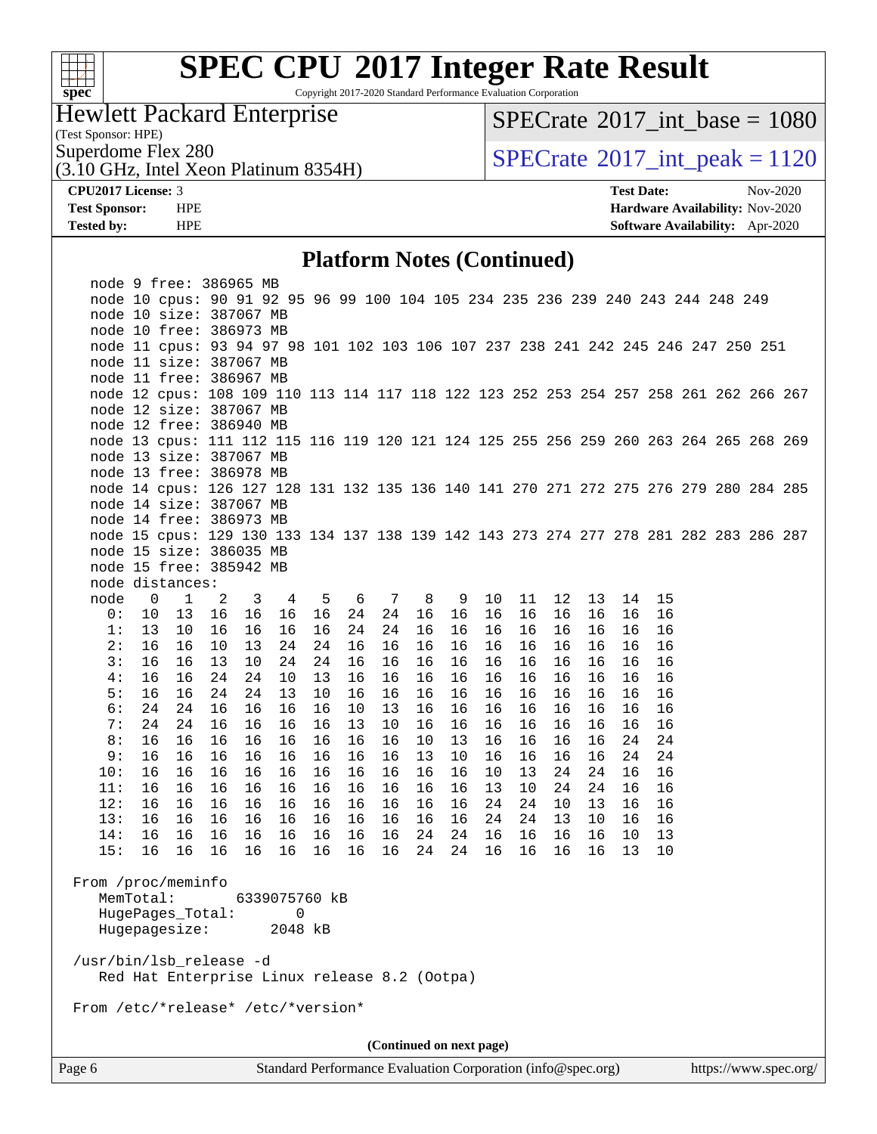

Copyright 2017-2020 Standard Performance Evaluation Corporation

Hewlett Packard Enterprise

 $SPECTate$ <sup>®</sup>[2017\\_int\\_base =](http://www.spec.org/auto/cpu2017/Docs/result-fields.html#SPECrate2017intbase) 1080

(Test Sponsor: HPE)

Superdome Flex 280<br>(3.10 GHz, Intel Xeon Platinum 8354H)  $\begin{array}{|l|l|}\n\hline\n\text{SPECrate} @ 2017\_int\_peak = 1120 \\
\hline\n\end{array}$  $\begin{array}{|l|l|}\n\hline\n\text{SPECrate} @ 2017\_int\_peak = 1120 \\
\hline\n\end{array}$  $\begin{array}{|l|l|}\n\hline\n\text{SPECrate} @ 2017\_int\_peak = 1120 \\
\hline\n\end{array}$ 

**[CPU2017 License:](http://www.spec.org/auto/cpu2017/Docs/result-fields.html#CPU2017License)** 3 **[Test Date:](http://www.spec.org/auto/cpu2017/Docs/result-fields.html#TestDate)** Nov-2020 **[Test Sponsor:](http://www.spec.org/auto/cpu2017/Docs/result-fields.html#TestSponsor)** HPE **[Hardware Availability:](http://www.spec.org/auto/cpu2017/Docs/result-fields.html#HardwareAvailability)** Nov-2020 **[Tested by:](http://www.spec.org/auto/cpu2017/Docs/result-fields.html#Testedby)** HPE **[Software Availability:](http://www.spec.org/auto/cpu2017/Docs/result-fields.html#SoftwareAvailability)** Apr-2020

#### **[Platform Notes \(Continued\)](http://www.spec.org/auto/cpu2017/Docs/result-fields.html#PlatformNotes)**

|                                    | node 9 free: 386965 MB                                                                |              |    |    |                                                             |    |    |                          |    |    |         |        |    |    |    |    |  |                       |
|------------------------------------|---------------------------------------------------------------------------------------|--------------|----|----|-------------------------------------------------------------|----|----|--------------------------|----|----|---------|--------|----|----|----|----|--|-----------------------|
|                                    | node 10 cpus: 90 91 92 95 96 99 100 104 105 234 235 236 239 240 243 244 248 249       |              |    |    |                                                             |    |    |                          |    |    |         |        |    |    |    |    |  |                       |
|                                    | node 10 size: 387067 MB                                                               |              |    |    |                                                             |    |    |                          |    |    |         |        |    |    |    |    |  |                       |
|                                    | node 10 free: 386973 MB                                                               |              |    |    |                                                             |    |    |                          |    |    |         |        |    |    |    |    |  |                       |
|                                    | node 11 cpus: 93 94 97 98 101 102 103 106 107 237 238 241 242 245 246 247 250 251     |              |    |    |                                                             |    |    |                          |    |    |         |        |    |    |    |    |  |                       |
|                                    | node 11 size: 387067 MB                                                               |              |    |    |                                                             |    |    |                          |    |    |         |        |    |    |    |    |  |                       |
|                                    | node 11 free: 386967 MB                                                               |              |    |    |                                                             |    |    |                          |    |    |         |        |    |    |    |    |  |                       |
|                                    | node 12 cpus: 108 109 110 113 114 117 118 122 123 252 253 254 257 258 261 262 266 267 |              |    |    |                                                             |    |    |                          |    |    |         |        |    |    |    |    |  |                       |
|                                    | node 12 size: 387067 MB                                                               |              |    |    |                                                             |    |    |                          |    |    |         |        |    |    |    |    |  |                       |
|                                    | node 12 free: 386940 MB                                                               |              |    |    |                                                             |    |    |                          |    |    |         |        |    |    |    |    |  |                       |
|                                    | node 13 cpus: 111 112 115 116 119 120 121 124 125 255 256 259 260 263 264 265 268 269 |              |    |    |                                                             |    |    |                          |    |    |         |        |    |    |    |    |  |                       |
|                                    | node 13 size: 387067 MB                                                               |              |    |    |                                                             |    |    |                          |    |    |         |        |    |    |    |    |  |                       |
|                                    | node 13 free: 386978 MB                                                               |              |    |    |                                                             |    |    |                          |    |    |         |        |    |    |    |    |  |                       |
|                                    | node 14 cpus: 126 127 128 131 132 135 136 140 141 270 271 272 275 276 279 280 284 285 |              |    |    |                                                             |    |    |                          |    |    |         |        |    |    |    |    |  |                       |
|                                    | node 14 size: 387067 MB                                                               |              |    |    |                                                             |    |    |                          |    |    |         |        |    |    |    |    |  |                       |
|                                    | node 14 free: 386973 MB                                                               |              |    |    |                                                             |    |    |                          |    |    |         |        |    |    |    |    |  |                       |
|                                    | node 15 cpus: 129 130 133 134 137 138 139 142 143 273 274 277 278 281 282 283 286 287 |              |    |    |                                                             |    |    |                          |    |    |         |        |    |    |    |    |  |                       |
|                                    | node 15 size: 386035 MB                                                               |              |    |    |                                                             |    |    |                          |    |    |         |        |    |    |    |    |  |                       |
|                                    | node 15 free: 385942 MB                                                               |              |    |    |                                                             |    |    |                          |    |    |         |        |    |    |    |    |  |                       |
|                                    | node distances:                                                                       |              |    |    |                                                             |    |    |                          |    |    |         |        |    |    |    |    |  |                       |
| node                               | 0                                                                                     | $\mathbf{1}$ | 2  | 3  | $\overline{4}$                                              | 5  | 6  | 7                        | 8  | 9  | $10 \,$ | 11     | 12 | 13 | 14 | 15 |  |                       |
| 0:                                 | 10                                                                                    | 13           | 16 | 16 | 16                                                          | 16 | 24 | 24                       | 16 | 16 | 16      | 16     | 16 | 16 | 16 | 16 |  |                       |
| 1:                                 | 13                                                                                    | 10           | 16 | 16 | 16                                                          | 16 | 24 | 24                       | 16 | 16 | 16      | 16     | 16 | 16 | 16 | 16 |  |                       |
| 2:                                 | 16                                                                                    | 16           | 10 | 13 | 24                                                          | 24 | 16 | 16                       | 16 | 16 | 16      | 16     | 16 | 16 | 16 | 16 |  |                       |
| 3:                                 | 16                                                                                    | 16           | 13 | 10 | 24                                                          | 24 | 16 | 16                       | 16 | 16 | 16      | 16     | 16 | 16 | 16 | 16 |  |                       |
| 4:                                 | 16                                                                                    | 16           | 24 | 24 | 10                                                          | 13 | 16 | 16                       | 16 | 16 | 16      | 16     | 16 | 16 | 16 | 16 |  |                       |
| 5:                                 | 16                                                                                    | 16           | 24 | 24 | 13                                                          | 10 | 16 | 16                       | 16 | 16 | 16      | 16     | 16 | 16 | 16 | 16 |  |                       |
| 6:                                 | 24                                                                                    | 24           | 16 | 16 | 16                                                          | 16 | 10 | 13                       | 16 | 16 | 16      | 16     | 16 | 16 | 16 | 16 |  |                       |
| 7:                                 | 24                                                                                    | 24           | 16 | 16 | 16                                                          | 16 | 13 | 10                       | 16 | 16 | 16      | 16     | 16 | 16 | 16 | 16 |  |                       |
| 8:                                 | 16                                                                                    | 16           | 16 | 16 | 16                                                          | 16 | 16 | 16                       | 10 | 13 | 16      | 16     | 16 | 16 | 24 | 24 |  |                       |
| 9:                                 | 16                                                                                    | 16           | 16 | 16 | 16                                                          | 16 | 16 | 16                       | 13 | 10 | 16      | 16     | 16 | 16 | 24 | 24 |  |                       |
| 10:                                | 16                                                                                    | 16           | 16 | 16 | 16                                                          | 16 | 16 | 16                       | 16 | 16 | 10      | 13     | 24 | 24 | 16 | 16 |  |                       |
| 11:                                | 16                                                                                    | 16           | 16 | 16 | 16                                                          | 16 | 16 | 16                       | 16 | 16 | 13      | $10\,$ | 24 | 24 | 16 | 16 |  |                       |
| 12:                                | 16                                                                                    | 16           | 16 | 16 | 16                                                          | 16 | 16 | 16                       | 16 | 16 | 24      | 24     | 10 | 13 | 16 | 16 |  |                       |
| 13:                                | 16                                                                                    | 16           | 16 | 16 | 16                                                          | 16 | 16 | 16                       | 16 | 16 | 24      | 24     | 13 | 10 | 16 | 16 |  |                       |
| 14:                                | 16                                                                                    | 16           | 16 | 16 | 16                                                          | 16 | 16 | 16                       | 24 | 24 | 16      | 16     | 16 | 16 | 10 | 13 |  |                       |
| 15:                                | 16                                                                                    | 16           | 16 | 16 | 16                                                          | 16 | 16 | 16                       | 24 | 24 | 16      | 16     | 16 | 16 | 13 | 10 |  |                       |
|                                    |                                                                                       |              |    |    |                                                             |    |    |                          |    |    |         |        |    |    |    |    |  |                       |
| From /proc/meminfo                 |                                                                                       |              |    |    |                                                             |    |    |                          |    |    |         |        |    |    |    |    |  |                       |
|                                    | MemTotal:                                                                             |              |    |    | 6339075760 kB                                               |    |    |                          |    |    |         |        |    |    |    |    |  |                       |
|                                    | HugePages_Total:                                                                      |              |    |    | 0                                                           |    |    |                          |    |    |         |        |    |    |    |    |  |                       |
|                                    | Hugepagesize:                                                                         |              |    |    | 2048 kB                                                     |    |    |                          |    |    |         |        |    |    |    |    |  |                       |
|                                    |                                                                                       |              |    |    |                                                             |    |    |                          |    |    |         |        |    |    |    |    |  |                       |
| /usr/bin/lsb_release -d            |                                                                                       |              |    |    |                                                             |    |    |                          |    |    |         |        |    |    |    |    |  |                       |
|                                    | Red Hat Enterprise Linux release 8.2 (Ootpa)                                          |              |    |    |                                                             |    |    |                          |    |    |         |        |    |    |    |    |  |                       |
|                                    |                                                                                       |              |    |    |                                                             |    |    |                          |    |    |         |        |    |    |    |    |  |                       |
| From /etc/*release* /etc/*version* |                                                                                       |              |    |    |                                                             |    |    |                          |    |    |         |        |    |    |    |    |  |                       |
|                                    |                                                                                       |              |    |    |                                                             |    |    |                          |    |    |         |        |    |    |    |    |  |                       |
|                                    |                                                                                       |              |    |    |                                                             |    |    | (Continued on next page) |    |    |         |        |    |    |    |    |  |                       |
| Page 6                             |                                                                                       |              |    |    | Standard Performance Evaluation Corporation (info@spec.org) |    |    |                          |    |    |         |        |    |    |    |    |  | https://www.spec.org/ |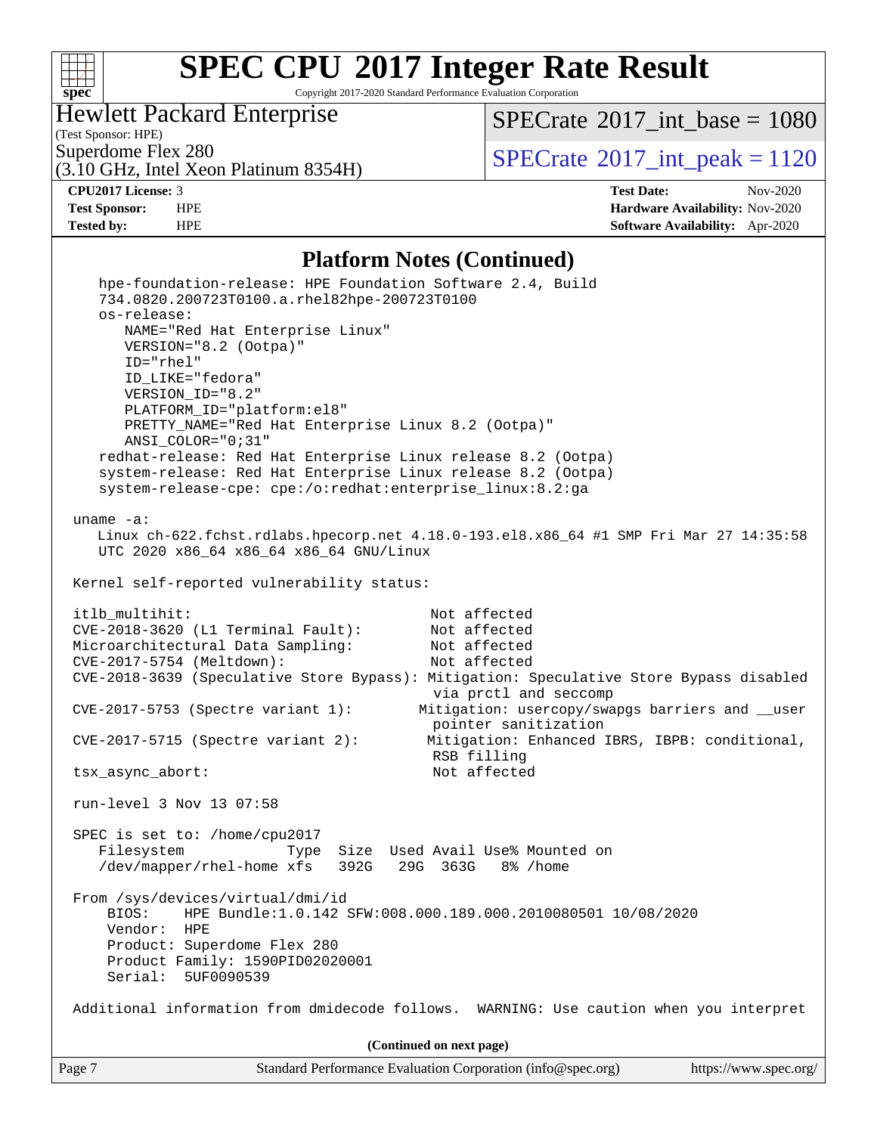

Copyright 2017-2020 Standard Performance Evaluation Corporation

#### Hewlett Packard Enterprise

(Test Sponsor: HPE)

 $SPECTate$ <sup>®</sup>[2017\\_int\\_base =](http://www.spec.org/auto/cpu2017/Docs/result-fields.html#SPECrate2017intbase) 1080

Superdome Flex 280<br>(3.10 GHz, Intel Xeon Platinum 8354H)  $\begin{array}{|l|l|}\n\hline\n\text{SPECrate} @ 2017\_int\_peak = 1120 \\
\hline\n\end{array}$  $\begin{array}{|l|l|}\n\hline\n\text{SPECrate} @ 2017\_int\_peak = 1120 \\
\hline\n\end{array}$  $\begin{array}{|l|l|}\n\hline\n\text{SPECrate} @ 2017\_int\_peak = 1120 \\
\hline\n\end{array}$ 

**[CPU2017 License:](http://www.spec.org/auto/cpu2017/Docs/result-fields.html#CPU2017License)** 3 **[Test Date:](http://www.spec.org/auto/cpu2017/Docs/result-fields.html#TestDate)** Nov-2020 **[Test Sponsor:](http://www.spec.org/auto/cpu2017/Docs/result-fields.html#TestSponsor)** HPE **[Hardware Availability:](http://www.spec.org/auto/cpu2017/Docs/result-fields.html#HardwareAvailability)** Nov-2020 **[Tested by:](http://www.spec.org/auto/cpu2017/Docs/result-fields.html#Testedby)** HPE **[Software Availability:](http://www.spec.org/auto/cpu2017/Docs/result-fields.html#SoftwareAvailability)** Apr-2020

#### **[Platform Notes \(Continued\)](http://www.spec.org/auto/cpu2017/Docs/result-fields.html#PlatformNotes)**

| Standard Performance Evaluation Corporation (info@spec.org)<br>Page 7                                                                                                                                                                                                                                                                                                                   | https://www.spec.org/ |
|-----------------------------------------------------------------------------------------------------------------------------------------------------------------------------------------------------------------------------------------------------------------------------------------------------------------------------------------------------------------------------------------|-----------------------|
| (Continued on next page)                                                                                                                                                                                                                                                                                                                                                                |                       |
| Additional information from dmidecode follows. WARNING: Use caution when you interpret                                                                                                                                                                                                                                                                                                  |                       |
| SPEC is set to: /home/cpu2017<br>Filesystem<br>Used Avail Use% Mounted on<br>Size<br>Type<br>/dev/mapper/rhel-home xfs<br>392G<br>29G 363G<br>8% /home<br>From /sys/devices/virtual/dmi/id<br>BIOS:<br>HPE Bundle:1.0.142 SFW:008.000.189.000.2010080501 10/08/2020<br>Vendor:<br><b>HPE</b><br>Product: Superdome Flex 280<br>Product Family: 1590PID02020001<br>Serial:<br>5UF0090539 |                       |
| run-level 3 Nov 13 07:58                                                                                                                                                                                                                                                                                                                                                                |                       |
| Not affected<br>tsx_async_abort:                                                                                                                                                                                                                                                                                                                                                        |                       |
| pointer sanitization<br>$CVE-2017-5715$ (Spectre variant 2):<br>Mitigation: Enhanced IBRS, IBPB: conditional,<br>RSB filling                                                                                                                                                                                                                                                            |                       |
| via prctl and seccomp<br>Mitigation: usercopy/swapgs barriers and __user<br>$CVE-2017-5753$ (Spectre variant 1):                                                                                                                                                                                                                                                                        |                       |
| CVE-2017-5754 (Meltdown):<br>Not affected<br>CVE-2018-3639 (Speculative Store Bypass): Mitigation: Speculative Store Bypass disabled                                                                                                                                                                                                                                                    |                       |
| CVE-2018-3620 (L1 Terminal Fault):<br>Not affected<br>Microarchitectural Data Sampling:<br>Not affected                                                                                                                                                                                                                                                                                 |                       |
| itlb_multihit:<br>Not affected                                                                                                                                                                                                                                                                                                                                                          |                       |
| Kernel self-reported vulnerability status:                                                                                                                                                                                                                                                                                                                                              |                       |
| uname $-a$ :<br>Linux ch-622.fchst.rdlabs.hpecorp.net 4.18.0-193.el8.x86_64 #1 SMP Fri Mar 27 14:35:58<br>UTC 2020 x86_64 x86_64 x86_64 GNU/Linux                                                                                                                                                                                                                                       |                       |
| system-release-cpe: cpe:/o:redhat:enterprise_linux:8.2:ga                                                                                                                                                                                                                                                                                                                               |                       |
| redhat-release: Red Hat Enterprise Linux release 8.2 (Ootpa)<br>system-release: Red Hat Enterprise Linux release 8.2 (Ootpa)                                                                                                                                                                                                                                                            |                       |
| PRETTY_NAME="Red Hat Enterprise Linux 8.2 (Ootpa)"<br>ANSI_COLOR="0;31"                                                                                                                                                                                                                                                                                                                 |                       |
| VERSION_ID="8.2"<br>PLATFORM ID="platform:el8"                                                                                                                                                                                                                                                                                                                                          |                       |
| ID="rhel"<br>ID_LIKE="fedora"                                                                                                                                                                                                                                                                                                                                                           |                       |
| NAME="Red Hat Enterprise Linux"<br>VERSION="8.2 (Ootpa)"                                                                                                                                                                                                                                                                                                                                |                       |
| os-release:                                                                                                                                                                                                                                                                                                                                                                             |                       |
| hpe-foundation-release: HPE Foundation Software 2.4, Build<br>734.0820.200723T0100.a.rhel82hpe-200723T0100                                                                                                                                                                                                                                                                              |                       |
|                                                                                                                                                                                                                                                                                                                                                                                         |                       |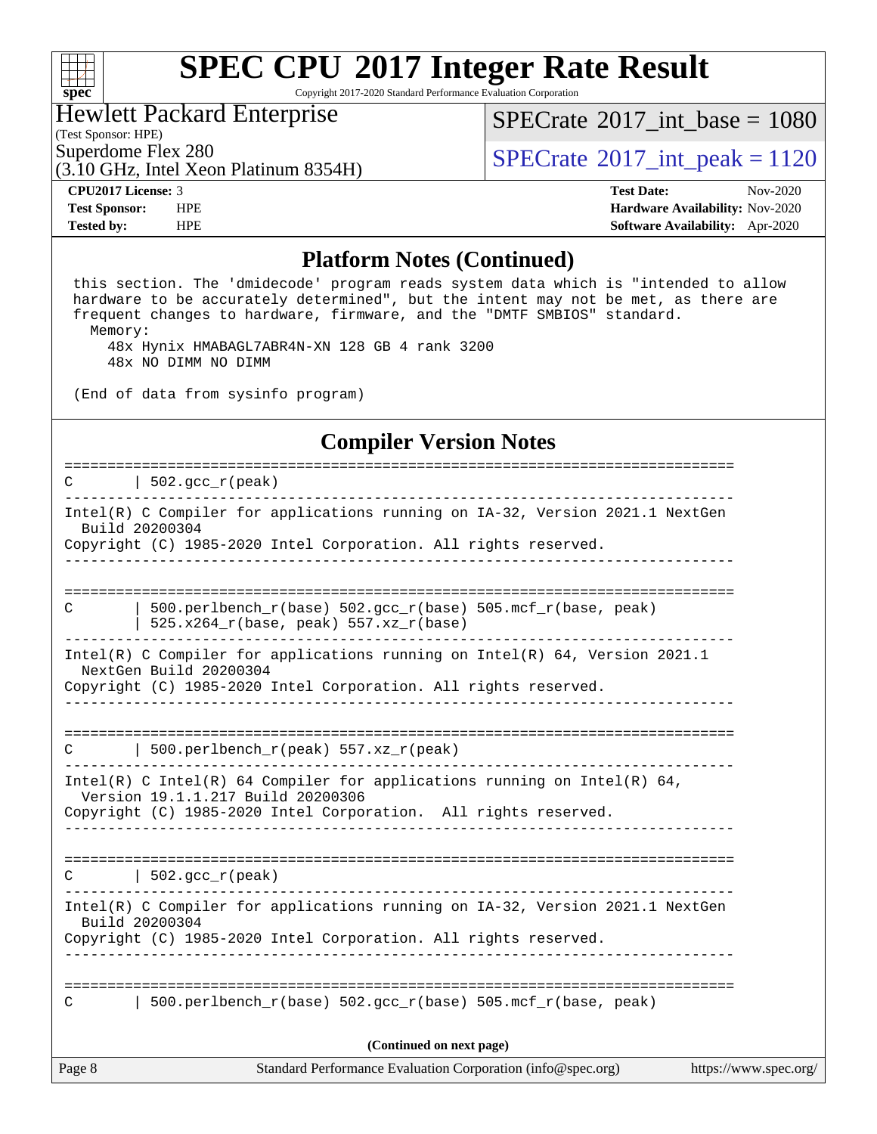#### **[spec](http://www.spec.org/)**

# **[SPEC CPU](http://www.spec.org/auto/cpu2017/Docs/result-fields.html#SPECCPU2017IntegerRateResult)[2017 Integer Rate Result](http://www.spec.org/auto/cpu2017/Docs/result-fields.html#SPECCPU2017IntegerRateResult)**

Copyright 2017-2020 Standard Performance Evaluation Corporation

#### Hewlett Packard Enterprise

(Test Sponsor: HPE)

[SPECrate](http://www.spec.org/auto/cpu2017/Docs/result-fields.html#SPECrate2017intbase)®2017 int\_base =  $1080$ 

(3.10 GHz, Intel Xeon Platinum 8354H)

Superdome Flex 280<br>  $SPECTA <sup>280</sup>$  [SPECrate](http://www.spec.org/auto/cpu2017/Docs/result-fields.html#SPECrate2017intpeak)<sup>®</sup>2017 int peak = 1120

**[CPU2017 License:](http://www.spec.org/auto/cpu2017/Docs/result-fields.html#CPU2017License)** 3 **[Test Date:](http://www.spec.org/auto/cpu2017/Docs/result-fields.html#TestDate)** Nov-2020 **[Test Sponsor:](http://www.spec.org/auto/cpu2017/Docs/result-fields.html#TestSponsor)** HPE **[Hardware Availability:](http://www.spec.org/auto/cpu2017/Docs/result-fields.html#HardwareAvailability)** Nov-2020 **[Tested by:](http://www.spec.org/auto/cpu2017/Docs/result-fields.html#Testedby)** HPE **[Software Availability:](http://www.spec.org/auto/cpu2017/Docs/result-fields.html#SoftwareAvailability)** Apr-2020

#### **[Platform Notes \(Continued\)](http://www.spec.org/auto/cpu2017/Docs/result-fields.html#PlatformNotes)**

Page 8 Standard Performance Evaluation Corporation [\(info@spec.org\)](mailto:info@spec.org) <https://www.spec.org/> this section. The 'dmidecode' program reads system data which is "intended to allow hardware to be accurately determined", but the intent may not be met, as there are frequent changes to hardware, firmware, and the "DMTF SMBIOS" standard. Memory: 48x Hynix HMABAGL7ABR4N-XN 128 GB 4 rank 3200 48x NO DIMM NO DIMM (End of data from sysinfo program) **[Compiler Version Notes](http://www.spec.org/auto/cpu2017/Docs/result-fields.html#CompilerVersionNotes)** ==============================================================================  $C \qquad | \quad 502.\text{gcc\_r}(\text{peak})$ ------------------------------------------------------------------------------ Intel(R) C Compiler for applications running on IA-32, Version 2021.1 NextGen Build 20200304 Copyright (C) 1985-2020 Intel Corporation. All rights reserved. ------------------------------------------------------------------------------ ============================================================================== C  $\vert$  500.perlbench r(base) 502.gcc r(base) 505.mcf r(base, peak) | 525.x264\_r(base, peak) 557.xz\_r(base) ------------------------------------------------------------------------------ Intel(R) C Compiler for applications running on Intel(R) 64, Version 2021.1 NextGen Build 20200304 Copyright (C) 1985-2020 Intel Corporation. All rights reserved. ------------------------------------------------------------------------------ ============================================================================== C | 500.perlbench\_r(peak) 557.xz\_r(peak) ------------------------------------------------------------------------------ Intel(R) C Intel(R) 64 Compiler for applications running on Intel(R)  $64$ , Version 19.1.1.217 Build 20200306 Copyright (C) 1985-2020 Intel Corporation. All rights reserved. ------------------------------------------------------------------------------ ==============================================================================  $C \qquad \qquad | \quad 502.\text{gcc\_r}(\text{peak})$ ------------------------------------------------------------------------------ Intel(R) C Compiler for applications running on IA-32, Version 2021.1 NextGen Build 20200304 Copyright (C) 1985-2020 Intel Corporation. All rights reserved. ------------------------------------------------------------------------------ ============================================================================== C | 500.perlbench r(base) 502.gcc r(base) 505.mcf r(base, peak) **(Continued on next page)**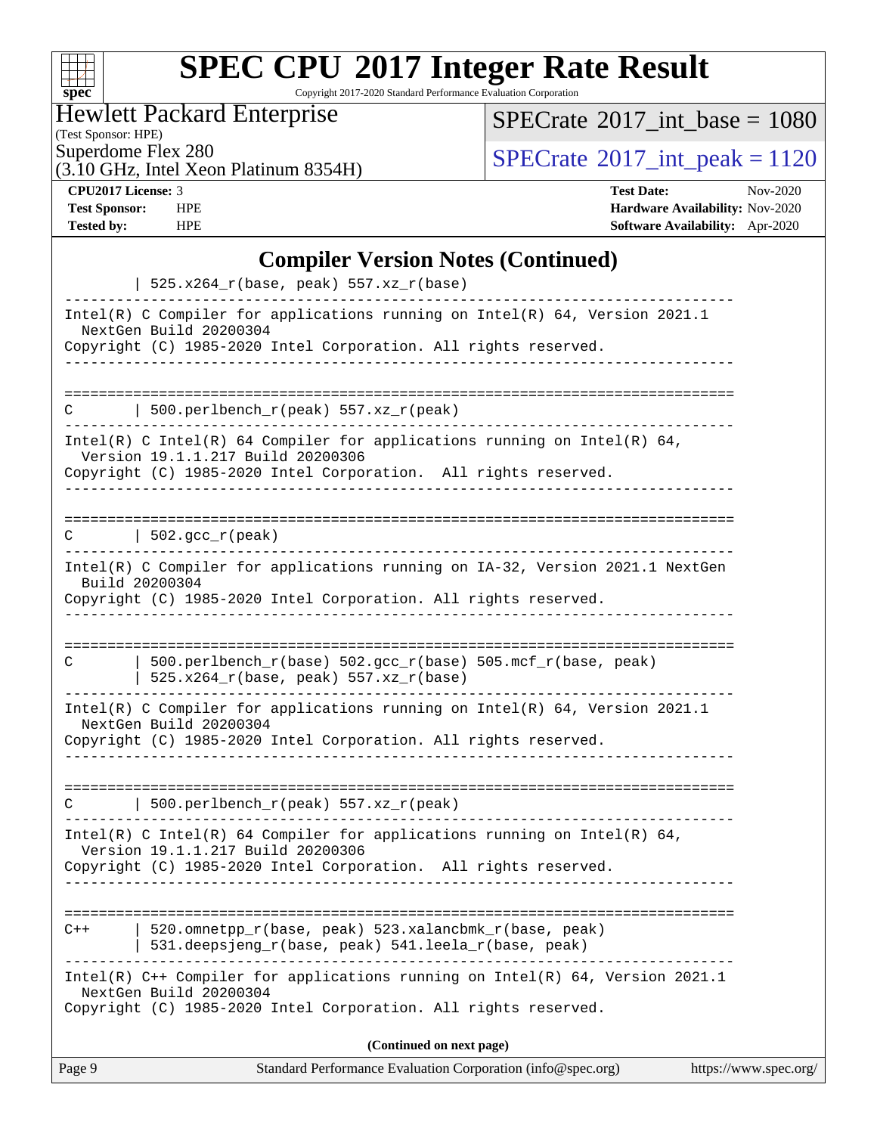| S.<br>U<br>×<br>t<br>t.<br>ь. |  |  |  |  |  |  |  |  |  |  |
|-------------------------------|--|--|--|--|--|--|--|--|--|--|

Copyright 2017-2020 Standard Performance Evaluation Corporation

Hewlett Packard Enterprise

(Test Sponsor: HPE)<br>Superdome Flex 280

 $SPECTate$ <sup>®</sup>[2017\\_int\\_base =](http://www.spec.org/auto/cpu2017/Docs/result-fields.html#SPECrate2017intbase) 1080

(3.10 GHz, Intel Xeon Platinum 8354H)

 $SPECTate@2017_int\_peak = 1120$ 

**[CPU2017 License:](http://www.spec.org/auto/cpu2017/Docs/result-fields.html#CPU2017License)** 3 **[Test Date:](http://www.spec.org/auto/cpu2017/Docs/result-fields.html#TestDate)** Nov-2020 **[Test Sponsor:](http://www.spec.org/auto/cpu2017/Docs/result-fields.html#TestSponsor)** HPE **[Hardware Availability:](http://www.spec.org/auto/cpu2017/Docs/result-fields.html#HardwareAvailability)** Nov-2020 **[Tested by:](http://www.spec.org/auto/cpu2017/Docs/result-fields.html#Testedby)** HPE **[Software Availability:](http://www.spec.org/auto/cpu2017/Docs/result-fields.html#SoftwareAvailability)** Apr-2020

#### **[Compiler Version Notes \(Continued\)](http://www.spec.org/auto/cpu2017/Docs/result-fields.html#CompilerVersionNotes)**

| Page 9 | Standard Performance Evaluation Corporation (info@spec.org)                                                                                                                      | https://www.spec.org/ |
|--------|----------------------------------------------------------------------------------------------------------------------------------------------------------------------------------|-----------------------|
|        | (Continued on next page)                                                                                                                                                         |                       |
|        | Intel(R) C++ Compiler for applications running on Intel(R) 64, Version 2021.1<br>NextGen Build 20200304<br>Copyright (C) 1985-2020 Intel Corporation. All rights reserved.       |                       |
| $C++$  | 520.omnetpp_r(base, peak) 523.xalancbmk_r(base, peak)<br>531.deepsjeng_r(base, peak) 541.leela_r(base, peak)                                                                     |                       |
|        | Intel(R) C Intel(R) 64 Compiler for applications running on Intel(R) 64,<br>Version 19.1.1.217 Build 20200306<br>Copyright (C) 1985-2020 Intel Corporation. All rights reserved. |                       |
| C      | 500.perlbench_r(peak) 557.xz_r(peak)                                                                                                                                             |                       |
|        | Intel(R) C Compiler for applications running on Intel(R) 64, Version 2021.1<br>NextGen Build 20200304<br>Copyright (C) 1985-2020 Intel Corporation. All rights reserved.         |                       |
| C      | $500. perlbench_r(base) 502. gcc_r(base) 505.mcf_r(base, peak)$<br>$525.x264_r(base, peak) 557.xz_r(base)$                                                                       |                       |
|        | Build 20200304<br>Copyright (C) 1985-2020 Intel Corporation. All rights reserved.                                                                                                |                       |
| C      | $\vert$ 502.gcc_r(peak)<br>Intel(R) C Compiler for applications running on IA-32, Version 2021.1 NextGen                                                                         |                       |
|        |                                                                                                                                                                                  |                       |
|        | Intel(R) C Intel(R) 64 Compiler for applications running on Intel(R) 64,<br>Version 19.1.1.217 Build 20200306<br>Copyright (C) 1985-2020 Intel Corporation. All rights reserved. |                       |
| C      | 500.perlbench_r(peak) 557.xz_r(peak)                                                                                                                                             |                       |
|        | Copyright (C) 1985-2020 Intel Corporation. All rights reserved.                                                                                                                  |                       |
|        | Intel(R) C Compiler for applications running on Intel(R) 64, Version 2021.1<br>NextGen Build 20200304                                                                            |                       |
|        | $525.x264_r(base, peak) 557.xz_r(base)$                                                                                                                                          |                       |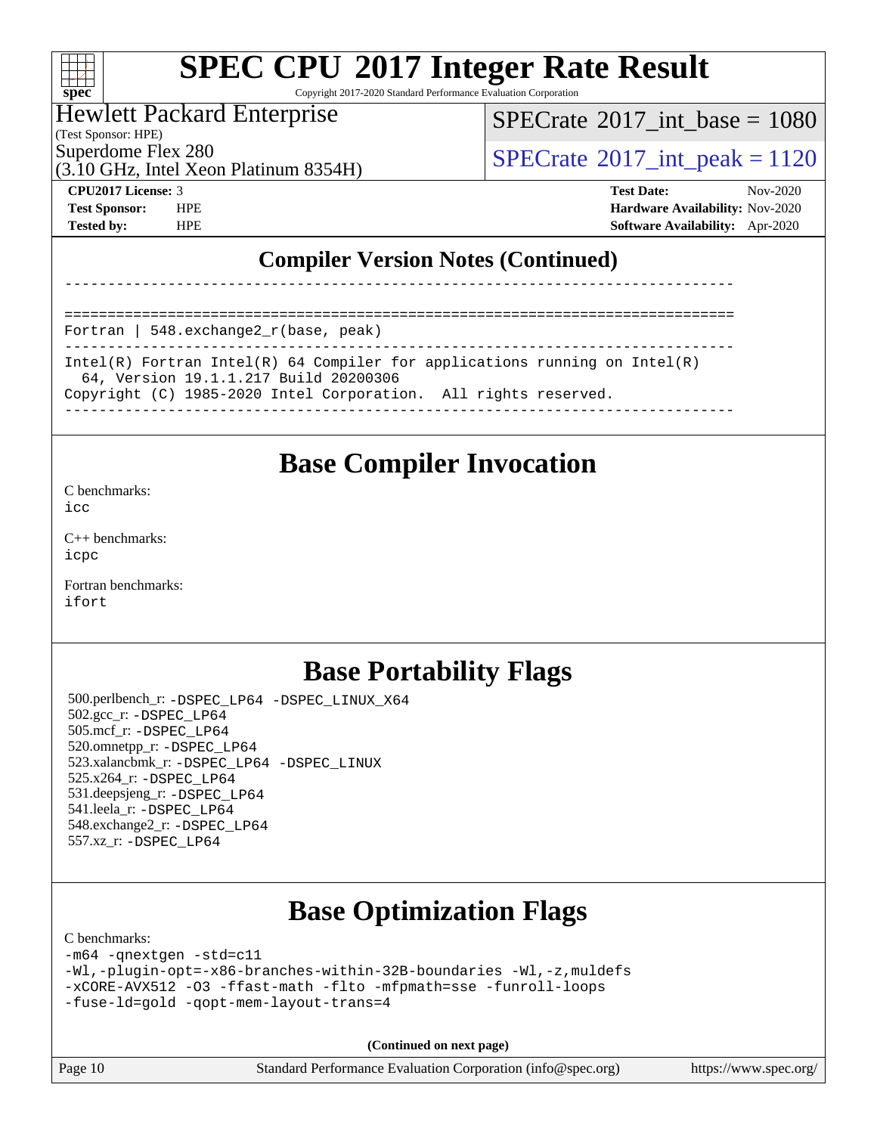| Sυ<br>E<br>U |  |  |  |  |  |  |  |  |
|--------------|--|--|--|--|--|--|--|--|

Copyright 2017-2020 Standard Performance Evaluation Corporation

### Hewlett Packard Enterprise

(Test Sponsor: HPE)

[SPECrate](http://www.spec.org/auto/cpu2017/Docs/result-fields.html#SPECrate2017intbase)®2017 int\_base =  $1080$ 

(3.10 GHz, Intel Xeon Platinum 8354H)

Superdome Flex 280<br>  $SPECTA 2017$  int peak = 1120

**[CPU2017 License:](http://www.spec.org/auto/cpu2017/Docs/result-fields.html#CPU2017License)** 3 **[Test Date:](http://www.spec.org/auto/cpu2017/Docs/result-fields.html#TestDate)** Nov-2020 **[Test Sponsor:](http://www.spec.org/auto/cpu2017/Docs/result-fields.html#TestSponsor)** HPE **[Hardware Availability:](http://www.spec.org/auto/cpu2017/Docs/result-fields.html#HardwareAvailability)** Nov-2020 **[Tested by:](http://www.spec.org/auto/cpu2017/Docs/result-fields.html#Testedby)** HPE **[Software Availability:](http://www.spec.org/auto/cpu2017/Docs/result-fields.html#SoftwareAvailability)** Apr-2020

#### **[Compiler Version Notes \(Continued\)](http://www.spec.org/auto/cpu2017/Docs/result-fields.html#CompilerVersionNotes)**

------------------------------------------------------------------------------

============================================================================== Fortran | 548.exchange2\_r(base, peak)

------------------------------------------------------------------------------ Intel(R) Fortran Intel(R) 64 Compiler for applications running on Intel(R) 64, Version 19.1.1.217 Build 20200306 Copyright (C) 1985-2020 Intel Corporation. All rights reserved.

------------------------------------------------------------------------------

### **[Base Compiler Invocation](http://www.spec.org/auto/cpu2017/Docs/result-fields.html#BaseCompilerInvocation)**

[C benchmarks](http://www.spec.org/auto/cpu2017/Docs/result-fields.html#Cbenchmarks):

[icc](http://www.spec.org/cpu2017/results/res2020q4/cpu2017-20201123-24436.flags.html#user_CCbase_intel_icc_66fc1ee009f7361af1fbd72ca7dcefbb700085f36577c54f309893dd4ec40d12360134090235512931783d35fd58c0460139e722d5067c5574d8eaf2b3e37e92)

[C++ benchmarks:](http://www.spec.org/auto/cpu2017/Docs/result-fields.html#CXXbenchmarks) [icpc](http://www.spec.org/cpu2017/results/res2020q4/cpu2017-20201123-24436.flags.html#user_CXXbase_intel_icpc_c510b6838c7f56d33e37e94d029a35b4a7bccf4766a728ee175e80a419847e808290a9b78be685c44ab727ea267ec2f070ec5dc83b407c0218cded6866a35d07)

[Fortran benchmarks](http://www.spec.org/auto/cpu2017/Docs/result-fields.html#Fortranbenchmarks): [ifort](http://www.spec.org/cpu2017/results/res2020q4/cpu2017-20201123-24436.flags.html#user_FCbase_intel_ifort_8111460550e3ca792625aed983ce982f94888b8b503583aa7ba2b8303487b4d8a21a13e7191a45c5fd58ff318f48f9492884d4413fa793fd88dd292cad7027ca)

### **[Base Portability Flags](http://www.spec.org/auto/cpu2017/Docs/result-fields.html#BasePortabilityFlags)**

 500.perlbench\_r: [-DSPEC\\_LP64](http://www.spec.org/cpu2017/results/res2020q4/cpu2017-20201123-24436.flags.html#b500.perlbench_r_basePORTABILITY_DSPEC_LP64) [-DSPEC\\_LINUX\\_X64](http://www.spec.org/cpu2017/results/res2020q4/cpu2017-20201123-24436.flags.html#b500.perlbench_r_baseCPORTABILITY_DSPEC_LINUX_X64) 502.gcc\_r: [-DSPEC\\_LP64](http://www.spec.org/cpu2017/results/res2020q4/cpu2017-20201123-24436.flags.html#suite_basePORTABILITY502_gcc_r_DSPEC_LP64) 505.mcf\_r: [-DSPEC\\_LP64](http://www.spec.org/cpu2017/results/res2020q4/cpu2017-20201123-24436.flags.html#suite_basePORTABILITY505_mcf_r_DSPEC_LP64) 520.omnetpp\_r: [-DSPEC\\_LP64](http://www.spec.org/cpu2017/results/res2020q4/cpu2017-20201123-24436.flags.html#suite_basePORTABILITY520_omnetpp_r_DSPEC_LP64) 523.xalancbmk\_r: [-DSPEC\\_LP64](http://www.spec.org/cpu2017/results/res2020q4/cpu2017-20201123-24436.flags.html#suite_basePORTABILITY523_xalancbmk_r_DSPEC_LP64) [-DSPEC\\_LINUX](http://www.spec.org/cpu2017/results/res2020q4/cpu2017-20201123-24436.flags.html#b523.xalancbmk_r_baseCXXPORTABILITY_DSPEC_LINUX) 525.x264\_r: [-DSPEC\\_LP64](http://www.spec.org/cpu2017/results/res2020q4/cpu2017-20201123-24436.flags.html#suite_basePORTABILITY525_x264_r_DSPEC_LP64) 531.deepsjeng\_r: [-DSPEC\\_LP64](http://www.spec.org/cpu2017/results/res2020q4/cpu2017-20201123-24436.flags.html#suite_basePORTABILITY531_deepsjeng_r_DSPEC_LP64) 541.leela\_r: [-DSPEC\\_LP64](http://www.spec.org/cpu2017/results/res2020q4/cpu2017-20201123-24436.flags.html#suite_basePORTABILITY541_leela_r_DSPEC_LP64) 548.exchange2\_r: [-DSPEC\\_LP64](http://www.spec.org/cpu2017/results/res2020q4/cpu2017-20201123-24436.flags.html#suite_basePORTABILITY548_exchange2_r_DSPEC_LP64) 557.xz\_r: [-DSPEC\\_LP64](http://www.spec.org/cpu2017/results/res2020q4/cpu2017-20201123-24436.flags.html#suite_basePORTABILITY557_xz_r_DSPEC_LP64)

## **[Base Optimization Flags](http://www.spec.org/auto/cpu2017/Docs/result-fields.html#BaseOptimizationFlags)**

[C benchmarks](http://www.spec.org/auto/cpu2017/Docs/result-fields.html#Cbenchmarks):

```
-m64 -qnextgen -std=c11
-Wl,-plugin-opt=-x86-branches-within-32B-boundaries -Wl,-z,muldefs
-xCORE-AVX512 -O3 -ffast-math -flto -mfpmath=sse -funroll-loops
-fuse-ld=gold -qopt-mem-layout-trans=4
```
**(Continued on next page)**

Page 10 Standard Performance Evaluation Corporation [\(info@spec.org\)](mailto:info@spec.org) <https://www.spec.org/>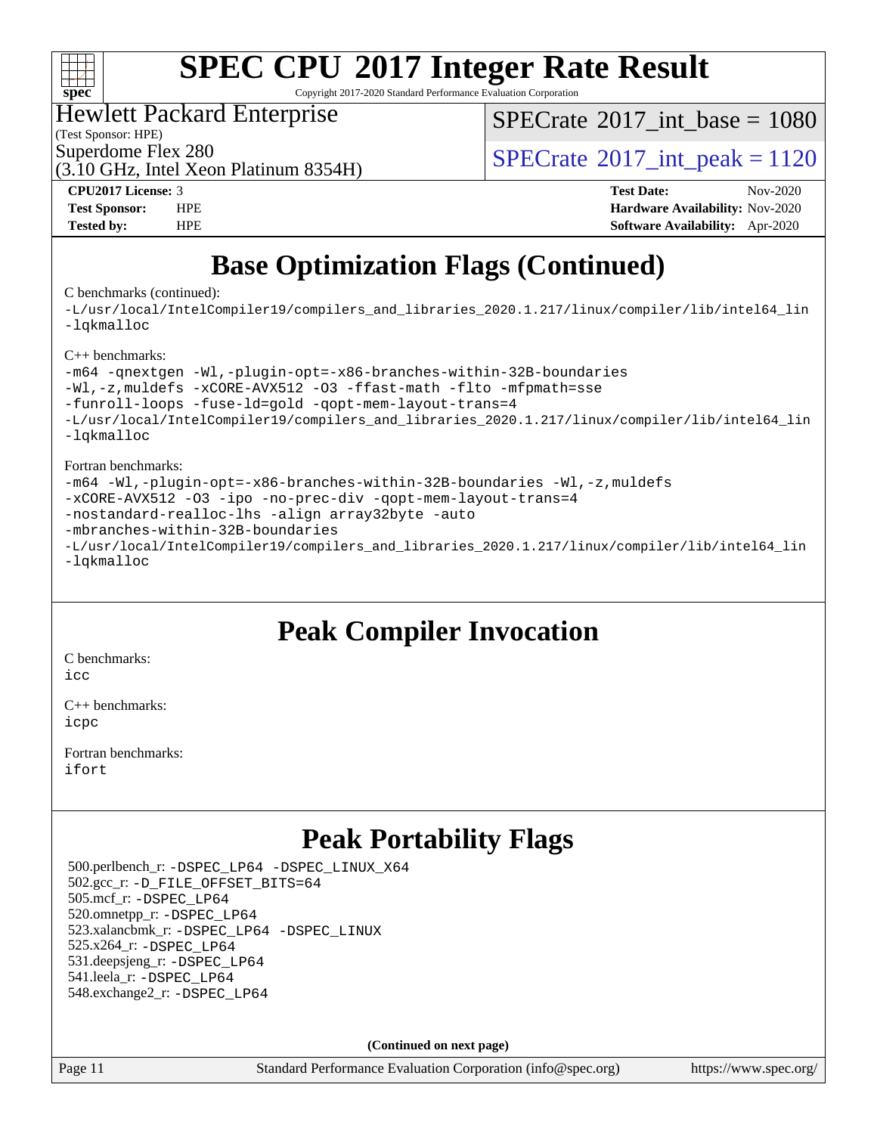

Copyright 2017-2020 Standard Performance Evaluation Corporation

#### Hewlett Packard Enterprise

(Test Sponsor: HPE)

[SPECrate](http://www.spec.org/auto/cpu2017/Docs/result-fields.html#SPECrate2017intbase)®2017 int\_base =  $1080$ 

Superdome Flex 280<br>  $SPECTA 2017$  int peak = 1120

(3.10 GHz, Intel Xeon Platinum 8354H)

**[Tested by:](http://www.spec.org/auto/cpu2017/Docs/result-fields.html#Testedby)** HPE **[Software Availability:](http://www.spec.org/auto/cpu2017/Docs/result-fields.html#SoftwareAvailability)** Apr-2020

**[CPU2017 License:](http://www.spec.org/auto/cpu2017/Docs/result-fields.html#CPU2017License)** 3 **[Test Date:](http://www.spec.org/auto/cpu2017/Docs/result-fields.html#TestDate)** Nov-2020 **[Test Sponsor:](http://www.spec.org/auto/cpu2017/Docs/result-fields.html#TestSponsor)** HPE **[Hardware Availability:](http://www.spec.org/auto/cpu2017/Docs/result-fields.html#HardwareAvailability)** Nov-2020

## **[Base Optimization Flags \(Continued\)](http://www.spec.org/auto/cpu2017/Docs/result-fields.html#BaseOptimizationFlags)**

[C benchmarks](http://www.spec.org/auto/cpu2017/Docs/result-fields.html#Cbenchmarks) (continued):

[-L/usr/local/IntelCompiler19/compilers\\_and\\_libraries\\_2020.1.217/linux/compiler/lib/intel64\\_lin](http://www.spec.org/cpu2017/results/res2020q4/cpu2017-20201123-24436.flags.html#user_CCbase_linkpath_2cb6f503891ebf8baee7515f4e7d4ec1217444d1d05903cc0091ac4158de400651d2b2313a9fa414cb8a8f0e16ab029634f5c6db340f400369c190d4db8a54a0) [-lqkmalloc](http://www.spec.org/cpu2017/results/res2020q4/cpu2017-20201123-24436.flags.html#user_CCbase_qkmalloc_link_lib_79a818439969f771c6bc311cfd333c00fc099dad35c030f5aab9dda831713d2015205805422f83de8875488a2991c0a156aaa600e1f9138f8fc37004abc96dc5)

[C++ benchmarks](http://www.spec.org/auto/cpu2017/Docs/result-fields.html#CXXbenchmarks):

```
-m64 -qnextgen -Wl,-plugin-opt=-x86-branches-within-32B-boundaries
-Wl,-z,muldefs -xCORE-AVX512 -O3 -ffast-math -flto -mfpmath=sse
-funroll-loops -fuse-ld=gold -qopt-mem-layout-trans=4
-L/usr/local/IntelCompiler19/compilers_and_libraries_2020.1.217/linux/compiler/lib/intel64_lin
-lqkmalloc
```
#### [Fortran benchmarks:](http://www.spec.org/auto/cpu2017/Docs/result-fields.html#Fortranbenchmarks)

```
-m64 -Wl,-plugin-opt=-x86-branches-within-32B-boundaries -Wl,-z,muldefs
-xCORE-AVX512 -O3 -ipo -no-prec-div -qopt-mem-layout-trans=4
-nostandard-realloc-lhs -align array32byte -auto
-mbranches-within-32B-boundaries
-L/usr/local/IntelCompiler19/compilers_and_libraries_2020.1.217/linux/compiler/lib/intel64_lin
-lqkmalloc
```
### **[Peak Compiler Invocation](http://www.spec.org/auto/cpu2017/Docs/result-fields.html#PeakCompilerInvocation)**

[C benchmarks](http://www.spec.org/auto/cpu2017/Docs/result-fields.html#Cbenchmarks): [icc](http://www.spec.org/cpu2017/results/res2020q4/cpu2017-20201123-24436.flags.html#user_CCpeak_intel_icc_66fc1ee009f7361af1fbd72ca7dcefbb700085f36577c54f309893dd4ec40d12360134090235512931783d35fd58c0460139e722d5067c5574d8eaf2b3e37e92)

[C++ benchmarks:](http://www.spec.org/auto/cpu2017/Docs/result-fields.html#CXXbenchmarks) [icpc](http://www.spec.org/cpu2017/results/res2020q4/cpu2017-20201123-24436.flags.html#user_CXXpeak_intel_icpc_c510b6838c7f56d33e37e94d029a35b4a7bccf4766a728ee175e80a419847e808290a9b78be685c44ab727ea267ec2f070ec5dc83b407c0218cded6866a35d07)

[Fortran benchmarks](http://www.spec.org/auto/cpu2017/Docs/result-fields.html#Fortranbenchmarks): [ifort](http://www.spec.org/cpu2017/results/res2020q4/cpu2017-20201123-24436.flags.html#user_FCpeak_intel_ifort_8111460550e3ca792625aed983ce982f94888b8b503583aa7ba2b8303487b4d8a21a13e7191a45c5fd58ff318f48f9492884d4413fa793fd88dd292cad7027ca)

## **[Peak Portability Flags](http://www.spec.org/auto/cpu2017/Docs/result-fields.html#PeakPortabilityFlags)**

 500.perlbench\_r: [-DSPEC\\_LP64](http://www.spec.org/cpu2017/results/res2020q4/cpu2017-20201123-24436.flags.html#b500.perlbench_r_peakPORTABILITY_DSPEC_LP64) [-DSPEC\\_LINUX\\_X64](http://www.spec.org/cpu2017/results/res2020q4/cpu2017-20201123-24436.flags.html#b500.perlbench_r_peakCPORTABILITY_DSPEC_LINUX_X64) 502.gcc\_r: [-D\\_FILE\\_OFFSET\\_BITS=64](http://www.spec.org/cpu2017/results/res2020q4/cpu2017-20201123-24436.flags.html#user_peakPORTABILITY502_gcc_r_file_offset_bits_64_5ae949a99b284ddf4e95728d47cb0843d81b2eb0e18bdfe74bbf0f61d0b064f4bda2f10ea5eb90e1dcab0e84dbc592acfc5018bc955c18609f94ddb8d550002c) 505.mcf\_r: [-DSPEC\\_LP64](http://www.spec.org/cpu2017/results/res2020q4/cpu2017-20201123-24436.flags.html#suite_peakPORTABILITY505_mcf_r_DSPEC_LP64) 520.omnetpp\_r: [-DSPEC\\_LP64](http://www.spec.org/cpu2017/results/res2020q4/cpu2017-20201123-24436.flags.html#suite_peakPORTABILITY520_omnetpp_r_DSPEC_LP64) 523.xalancbmk\_r: [-DSPEC\\_LP64](http://www.spec.org/cpu2017/results/res2020q4/cpu2017-20201123-24436.flags.html#suite_peakPORTABILITY523_xalancbmk_r_DSPEC_LP64) [-DSPEC\\_LINUX](http://www.spec.org/cpu2017/results/res2020q4/cpu2017-20201123-24436.flags.html#b523.xalancbmk_r_peakCXXPORTABILITY_DSPEC_LINUX) 525.x264\_r: [-DSPEC\\_LP64](http://www.spec.org/cpu2017/results/res2020q4/cpu2017-20201123-24436.flags.html#suite_peakPORTABILITY525_x264_r_DSPEC_LP64) 531.deepsjeng\_r: [-DSPEC\\_LP64](http://www.spec.org/cpu2017/results/res2020q4/cpu2017-20201123-24436.flags.html#suite_peakPORTABILITY531_deepsjeng_r_DSPEC_LP64) 541.leela\_r: [-DSPEC\\_LP64](http://www.spec.org/cpu2017/results/res2020q4/cpu2017-20201123-24436.flags.html#suite_peakPORTABILITY541_leela_r_DSPEC_LP64) 548.exchange2\_r: [-DSPEC\\_LP64](http://www.spec.org/cpu2017/results/res2020q4/cpu2017-20201123-24436.flags.html#suite_peakPORTABILITY548_exchange2_r_DSPEC_LP64)

**(Continued on next page)**

Page 11 Standard Performance Evaluation Corporation [\(info@spec.org\)](mailto:info@spec.org) <https://www.spec.org/>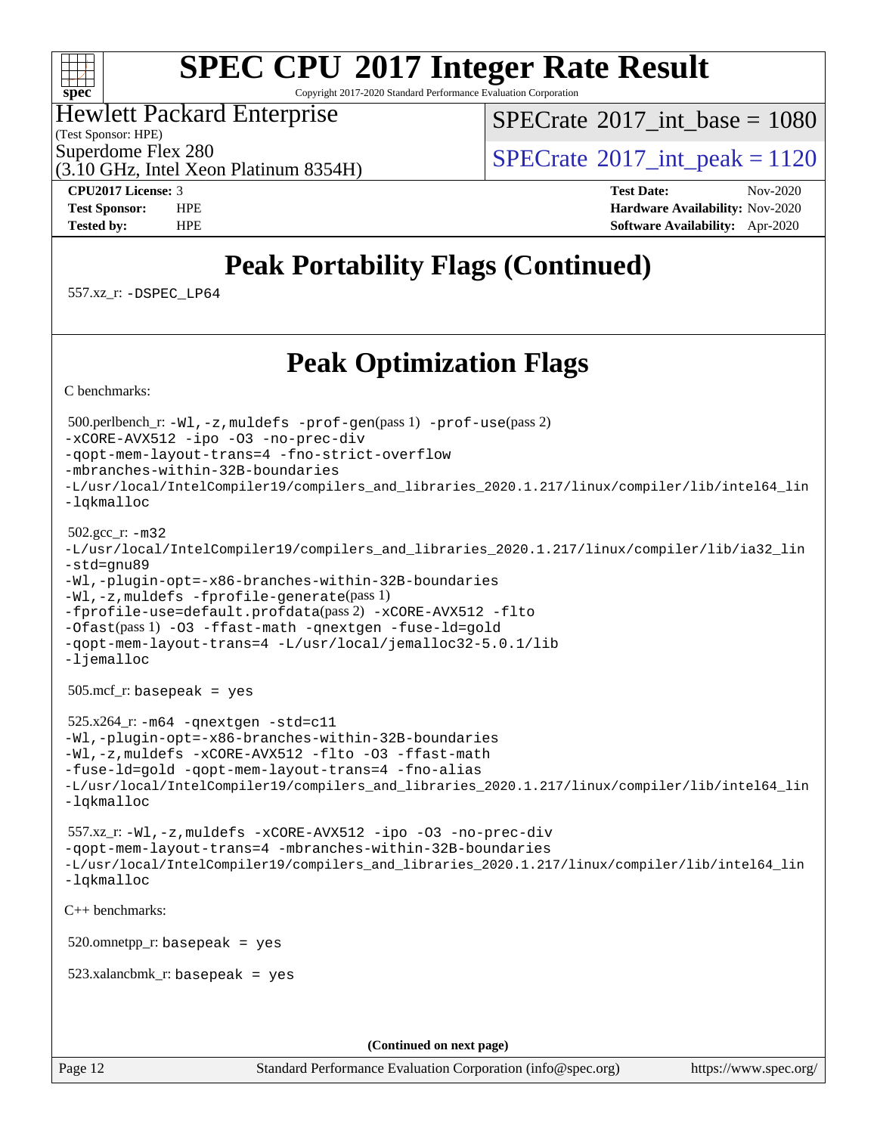

Copyright 2017-2020 Standard Performance Evaluation Corporation

#### Hewlett Packard Enterprise

(Test Sponsor: HPE)

[SPECrate](http://www.spec.org/auto/cpu2017/Docs/result-fields.html#SPECrate2017intbase)®2017 int\_base =  $1080$ 

(3.10 GHz, Intel Xeon Platinum 8354H)

Superdome Flex 280<br>  $SPECTA 2017$  int peak = 1120

**[CPU2017 License:](http://www.spec.org/auto/cpu2017/Docs/result-fields.html#CPU2017License)** 3 **[Test Date:](http://www.spec.org/auto/cpu2017/Docs/result-fields.html#TestDate)** Nov-2020 **[Test Sponsor:](http://www.spec.org/auto/cpu2017/Docs/result-fields.html#TestSponsor)** HPE **[Hardware Availability:](http://www.spec.org/auto/cpu2017/Docs/result-fields.html#HardwareAvailability)** Nov-2020 **[Tested by:](http://www.spec.org/auto/cpu2017/Docs/result-fields.html#Testedby)** HPE **[Software Availability:](http://www.spec.org/auto/cpu2017/Docs/result-fields.html#SoftwareAvailability)** Apr-2020

## **[Peak Portability Flags \(Continued\)](http://www.spec.org/auto/cpu2017/Docs/result-fields.html#PeakPortabilityFlags)**

557.xz\_r: [-DSPEC\\_LP64](http://www.spec.org/cpu2017/results/res2020q4/cpu2017-20201123-24436.flags.html#suite_peakPORTABILITY557_xz_r_DSPEC_LP64)

### **[Peak Optimization Flags](http://www.spec.org/auto/cpu2017/Docs/result-fields.html#PeakOptimizationFlags)**

[C benchmarks](http://www.spec.org/auto/cpu2017/Docs/result-fields.html#Cbenchmarks):

 500.perlbench\_r: [-Wl,-z,muldefs](http://www.spec.org/cpu2017/results/res2020q4/cpu2017-20201123-24436.flags.html#user_peakEXTRA_LDFLAGS500_perlbench_r_link_force_multiple1_b4cbdb97b34bdee9ceefcfe54f4c8ea74255f0b02a4b23e853cdb0e18eb4525ac79b5a88067c842dd0ee6996c24547a27a4b99331201badda8798ef8a743f577) [-prof-gen](http://www.spec.org/cpu2017/results/res2020q4/cpu2017-20201123-24436.flags.html#user_peakPASS1_CFLAGSPASS1_LDFLAGS500_perlbench_r_prof_gen_5aa4926d6013ddb2a31985c654b3eb18169fc0c6952a63635c234f711e6e63dd76e94ad52365559451ec499a2cdb89e4dc58ba4c67ef54ca681ffbe1461d6b36)(pass 1) [-prof-use](http://www.spec.org/cpu2017/results/res2020q4/cpu2017-20201123-24436.flags.html#user_peakPASS2_CFLAGSPASS2_LDFLAGS500_perlbench_r_prof_use_1a21ceae95f36a2b53c25747139a6c16ca95bd9def2a207b4f0849963b97e94f5260e30a0c64f4bb623698870e679ca08317ef8150905d41bd88c6f78df73f19)(pass 2) [-xCORE-AVX512](http://www.spec.org/cpu2017/results/res2020q4/cpu2017-20201123-24436.flags.html#user_peakCOPTIMIZE500_perlbench_r_f-xCORE-AVX512) [-ipo](http://www.spec.org/cpu2017/results/res2020q4/cpu2017-20201123-24436.flags.html#user_peakCOPTIMIZE500_perlbench_r_f-ipo) [-O3](http://www.spec.org/cpu2017/results/res2020q4/cpu2017-20201123-24436.flags.html#user_peakCOPTIMIZE500_perlbench_r_f-O3) [-no-prec-div](http://www.spec.org/cpu2017/results/res2020q4/cpu2017-20201123-24436.flags.html#user_peakCOPTIMIZE500_perlbench_r_f-no-prec-div) [-qopt-mem-layout-trans=4](http://www.spec.org/cpu2017/results/res2020q4/cpu2017-20201123-24436.flags.html#user_peakCOPTIMIZE500_perlbench_r_f-qopt-mem-layout-trans_fa39e755916c150a61361b7846f310bcdf6f04e385ef281cadf3647acec3f0ae266d1a1d22d972a7087a248fd4e6ca390a3634700869573d231a252c784941a8) [-fno-strict-overflow](http://www.spec.org/cpu2017/results/res2020q4/cpu2017-20201123-24436.flags.html#user_peakEXTRA_OPTIMIZE500_perlbench_r_f-fno-strict-overflow) [-mbranches-within-32B-boundaries](http://www.spec.org/cpu2017/results/res2020q4/cpu2017-20201123-24436.flags.html#user_peakEXTRA_COPTIMIZE500_perlbench_r_f-mbranches-within-32B-boundaries) [-L/usr/local/IntelCompiler19/compilers\\_and\\_libraries\\_2020.1.217/linux/compiler/lib/intel64\\_lin](http://www.spec.org/cpu2017/results/res2020q4/cpu2017-20201123-24436.flags.html#user_peakEXTRA_LIBS500_perlbench_r_linkpath_2cb6f503891ebf8baee7515f4e7d4ec1217444d1d05903cc0091ac4158de400651d2b2313a9fa414cb8a8f0e16ab029634f5c6db340f400369c190d4db8a54a0) [-lqkmalloc](http://www.spec.org/cpu2017/results/res2020q4/cpu2017-20201123-24436.flags.html#user_peakEXTRA_LIBS500_perlbench_r_qkmalloc_link_lib_79a818439969f771c6bc311cfd333c00fc099dad35c030f5aab9dda831713d2015205805422f83de8875488a2991c0a156aaa600e1f9138f8fc37004abc96dc5) 502.gcc\_r: [-m32](http://www.spec.org/cpu2017/results/res2020q4/cpu2017-20201123-24436.flags.html#user_peakCCLD502_gcc_r_m32-icc) [-L/usr/local/IntelCompiler19/compilers\\_and\\_libraries\\_2020.1.217/linux/compiler/lib/ia32\\_lin](http://www.spec.org/cpu2017/results/res2020q4/cpu2017-20201123-24436.flags.html#user_peakCCLD502_gcc_r_linkpath_1b648dc083a6610e413f4e3f7afc604a24d17378f17ccd408506518e6231e99b67b6c9581aaca83ea9e1c966468a85aa236df4f978ab24cc5d9fdddb5cd5dbbb) [-std=gnu89](http://www.spec.org/cpu2017/results/res2020q4/cpu2017-20201123-24436.flags.html#user_peakCCLD502_gcc_r_f-std_f3cc2e520142451d42b8d64ee452c6877603de867a66777769b4e3f9b376c2a8742d66df6a4ffb5b483abd54df63aab35a2f4fe1181eb389a18cdcc50fd950e3) [-Wl,-plugin-opt=-x86-branches-within-32B-boundaries](http://www.spec.org/cpu2017/results/res2020q4/cpu2017-20201123-24436.flags.html#user_peakLDFLAGS502_gcc_r_f-x86-branches-within-32B-boundaries_0098b4e4317ae60947b7b728078a624952a08ac37a3c797dfb4ffeb399e0c61a9dd0f2f44ce917e9361fb9076ccb15e7824594512dd315205382d84209e912f3) [-Wl,-z,muldefs](http://www.spec.org/cpu2017/results/res2020q4/cpu2017-20201123-24436.flags.html#user_peakEXTRA_LDFLAGS502_gcc_r_link_force_multiple1_b4cbdb97b34bdee9ceefcfe54f4c8ea74255f0b02a4b23e853cdb0e18eb4525ac79b5a88067c842dd0ee6996c24547a27a4b99331201badda8798ef8a743f577) [-fprofile-generate](http://www.spec.org/cpu2017/results/res2020q4/cpu2017-20201123-24436.flags.html#user_peakPASS1_CFLAGSPASS1_LDFLAGS502_gcc_r_fprofile-generate)(pass 1) [-fprofile-use=default.profdata](http://www.spec.org/cpu2017/results/res2020q4/cpu2017-20201123-24436.flags.html#user_peakPASS2_CFLAGSPASS2_LDFLAGS502_gcc_r_fprofile-use_56aeee182b92ec249f9670f17c9b8e7d83fe2d25538e35a2cf64c434b579a2235a8b8fc66ef5678d24461366bbab9d486c870d8a72905233fc08e43eefe3cd80)(pass 2) [-xCORE-AVX512](http://www.spec.org/cpu2017/results/res2020q4/cpu2017-20201123-24436.flags.html#user_peakCOPTIMIZEPASS1_CFLAGSPASS1_LDFLAGS502_gcc_r_f-xCORE-AVX512) [-flto](http://www.spec.org/cpu2017/results/res2020q4/cpu2017-20201123-24436.flags.html#user_peakCOPTIMIZEPASS1_CFLAGSPASS1_LDFLAGS502_gcc_r_f-flto) [-Ofast](http://www.spec.org/cpu2017/results/res2020q4/cpu2017-20201123-24436.flags.html#user_peakPASS1_CFLAGSPASS1_LDFLAGS502_gcc_r_f-Ofast)(pass 1) [-O3](http://www.spec.org/cpu2017/results/res2020q4/cpu2017-20201123-24436.flags.html#user_peakCOPTIMIZE502_gcc_r_f-O3) [-ffast-math](http://www.spec.org/cpu2017/results/res2020q4/cpu2017-20201123-24436.flags.html#user_peakCOPTIMIZE502_gcc_r_f-ffast-math) [-qnextgen](http://www.spec.org/cpu2017/results/res2020q4/cpu2017-20201123-24436.flags.html#user_peakCOPTIMIZE502_gcc_r_f-qnextgen) [-fuse-ld=gold](http://www.spec.org/cpu2017/results/res2020q4/cpu2017-20201123-24436.flags.html#user_peakCOPTIMIZE502_gcc_r_f-fuse-ld_920b3586e2b8c6e0748b9c84fa9b744736ba725a32cab14ad8f3d4ad28eecb2f59d1144823d2e17006539a88734fe1fc08fc3035f7676166309105a78aaabc32) [-qopt-mem-layout-trans=4](http://www.spec.org/cpu2017/results/res2020q4/cpu2017-20201123-24436.flags.html#user_peakCOPTIMIZE502_gcc_r_f-qopt-mem-layout-trans_fa39e755916c150a61361b7846f310bcdf6f04e385ef281cadf3647acec3f0ae266d1a1d22d972a7087a248fd4e6ca390a3634700869573d231a252c784941a8) [-L/usr/local/jemalloc32-5.0.1/lib](http://www.spec.org/cpu2017/results/res2020q4/cpu2017-20201123-24436.flags.html#user_peakEXTRA_LIBS502_gcc_r_jemalloc_link_path32_1_3ce7b59db3b357dbaf7ad791266c9ba04a7e4933c209d6be2abbddfa003f7b11a662224df663b38de6e5da607f395338b5ea7f15fbbebbfcf43a38f170721399) [-ljemalloc](http://www.spec.org/cpu2017/results/res2020q4/cpu2017-20201123-24436.flags.html#user_peakEXTRA_LIBS502_gcc_r_jemalloc_link_lib_d1249b907c500fa1c0672f44f562e3d0f79738ae9e3c4a9c376d49f265a04b9c99b167ecedbf6711b3085be911c67ff61f150a17b3472be731631ba4d0471706) 505.mcf\_r: basepeak = yes 525.x264\_r: [-m64](http://www.spec.org/cpu2017/results/res2020q4/cpu2017-20201123-24436.flags.html#user_peakCCLD525_x264_r_m64-icc) [-qnextgen](http://www.spec.org/cpu2017/results/res2020q4/cpu2017-20201123-24436.flags.html#user_peakCCCOPTIMIZELD525_x264_r_f-qnextgen) [-std=c11](http://www.spec.org/cpu2017/results/res2020q4/cpu2017-20201123-24436.flags.html#user_peakCCLD525_x264_r_std-icc-std_0e1c27790398a4642dfca32ffe6c27b5796f9c2d2676156f2e42c9c44eaad0c049b1cdb667a270c34d979996257aeb8fc440bfb01818dbc9357bd9d174cb8524) [-Wl,-plugin-opt=-x86-branches-within-32B-boundaries](http://www.spec.org/cpu2017/results/res2020q4/cpu2017-20201123-24436.flags.html#user_peakLDFLAGS525_x264_r_f-x86-branches-within-32B-boundaries_0098b4e4317ae60947b7b728078a624952a08ac37a3c797dfb4ffeb399e0c61a9dd0f2f44ce917e9361fb9076ccb15e7824594512dd315205382d84209e912f3) [-Wl,-z,muldefs](http://www.spec.org/cpu2017/results/res2020q4/cpu2017-20201123-24436.flags.html#user_peakEXTRA_LDFLAGS525_x264_r_link_force_multiple1_b4cbdb97b34bdee9ceefcfe54f4c8ea74255f0b02a4b23e853cdb0e18eb4525ac79b5a88067c842dd0ee6996c24547a27a4b99331201badda8798ef8a743f577) [-xCORE-AVX512](http://www.spec.org/cpu2017/results/res2020q4/cpu2017-20201123-24436.flags.html#user_peakCOPTIMIZE525_x264_r_f-xCORE-AVX512) [-flto](http://www.spec.org/cpu2017/results/res2020q4/cpu2017-20201123-24436.flags.html#user_peakCOPTIMIZE525_x264_r_f-flto) [-O3](http://www.spec.org/cpu2017/results/res2020q4/cpu2017-20201123-24436.flags.html#user_peakCOPTIMIZE525_x264_r_f-O3) [-ffast-math](http://www.spec.org/cpu2017/results/res2020q4/cpu2017-20201123-24436.flags.html#user_peakCOPTIMIZE525_x264_r_f-ffast-math) [-fuse-ld=gold](http://www.spec.org/cpu2017/results/res2020q4/cpu2017-20201123-24436.flags.html#user_peakCOPTIMIZE525_x264_r_f-fuse-ld_920b3586e2b8c6e0748b9c84fa9b744736ba725a32cab14ad8f3d4ad28eecb2f59d1144823d2e17006539a88734fe1fc08fc3035f7676166309105a78aaabc32) [-qopt-mem-layout-trans=4](http://www.spec.org/cpu2017/results/res2020q4/cpu2017-20201123-24436.flags.html#user_peakCOPTIMIZE525_x264_r_f-qopt-mem-layout-trans_fa39e755916c150a61361b7846f310bcdf6f04e385ef281cadf3647acec3f0ae266d1a1d22d972a7087a248fd4e6ca390a3634700869573d231a252c784941a8) [-fno-alias](http://www.spec.org/cpu2017/results/res2020q4/cpu2017-20201123-24436.flags.html#user_peakEXTRA_OPTIMIZE525_x264_r_f-no-alias_77dbac10d91cbfe898fbf4a29d1b29b694089caa623bdd1baccc9957d4edbe8d106c0b357e2748a65b44fc9e83d78098bb898077f3fe92f9faf24f7bd4a07ed7) [-L/usr/local/IntelCompiler19/compilers\\_and\\_libraries\\_2020.1.217/linux/compiler/lib/intel64\\_lin](http://www.spec.org/cpu2017/results/res2020q4/cpu2017-20201123-24436.flags.html#user_peakEXTRA_LIBS525_x264_r_linkpath_2cb6f503891ebf8baee7515f4e7d4ec1217444d1d05903cc0091ac4158de400651d2b2313a9fa414cb8a8f0e16ab029634f5c6db340f400369c190d4db8a54a0) [-lqkmalloc](http://www.spec.org/cpu2017/results/res2020q4/cpu2017-20201123-24436.flags.html#user_peakEXTRA_LIBS525_x264_r_qkmalloc_link_lib_79a818439969f771c6bc311cfd333c00fc099dad35c030f5aab9dda831713d2015205805422f83de8875488a2991c0a156aaa600e1f9138f8fc37004abc96dc5) 557.xz\_r: [-Wl,-z,muldefs](http://www.spec.org/cpu2017/results/res2020q4/cpu2017-20201123-24436.flags.html#user_peakEXTRA_LDFLAGS557_xz_r_link_force_multiple1_b4cbdb97b34bdee9ceefcfe54f4c8ea74255f0b02a4b23e853cdb0e18eb4525ac79b5a88067c842dd0ee6996c24547a27a4b99331201badda8798ef8a743f577) [-xCORE-AVX512](http://www.spec.org/cpu2017/results/res2020q4/cpu2017-20201123-24436.flags.html#user_peakCOPTIMIZE557_xz_r_f-xCORE-AVX512) [-ipo](http://www.spec.org/cpu2017/results/res2020q4/cpu2017-20201123-24436.flags.html#user_peakCOPTIMIZE557_xz_r_f-ipo) [-O3](http://www.spec.org/cpu2017/results/res2020q4/cpu2017-20201123-24436.flags.html#user_peakCOPTIMIZE557_xz_r_f-O3) [-no-prec-div](http://www.spec.org/cpu2017/results/res2020q4/cpu2017-20201123-24436.flags.html#user_peakCOPTIMIZE557_xz_r_f-no-prec-div) [-qopt-mem-layout-trans=4](http://www.spec.org/cpu2017/results/res2020q4/cpu2017-20201123-24436.flags.html#user_peakCOPTIMIZE557_xz_r_f-qopt-mem-layout-trans_fa39e755916c150a61361b7846f310bcdf6f04e385ef281cadf3647acec3f0ae266d1a1d22d972a7087a248fd4e6ca390a3634700869573d231a252c784941a8) [-mbranches-within-32B-boundaries](http://www.spec.org/cpu2017/results/res2020q4/cpu2017-20201123-24436.flags.html#user_peakEXTRA_COPTIMIZE557_xz_r_f-mbranches-within-32B-boundaries) [-L/usr/local/IntelCompiler19/compilers\\_and\\_libraries\\_2020.1.217/linux/compiler/lib/intel64\\_lin](http://www.spec.org/cpu2017/results/res2020q4/cpu2017-20201123-24436.flags.html#user_peakEXTRA_LIBS557_xz_r_linkpath_2cb6f503891ebf8baee7515f4e7d4ec1217444d1d05903cc0091ac4158de400651d2b2313a9fa414cb8a8f0e16ab029634f5c6db340f400369c190d4db8a54a0) [-lqkmalloc](http://www.spec.org/cpu2017/results/res2020q4/cpu2017-20201123-24436.flags.html#user_peakEXTRA_LIBS557_xz_r_qkmalloc_link_lib_79a818439969f771c6bc311cfd333c00fc099dad35c030f5aab9dda831713d2015205805422f83de8875488a2991c0a156aaa600e1f9138f8fc37004abc96dc5) [C++ benchmarks](http://www.spec.org/auto/cpu2017/Docs/result-fields.html#CXXbenchmarks): 520.omnetpp\_r: basepeak = yes 523.xalancbmk\_r: basepeak = yes **(Continued on next page)**